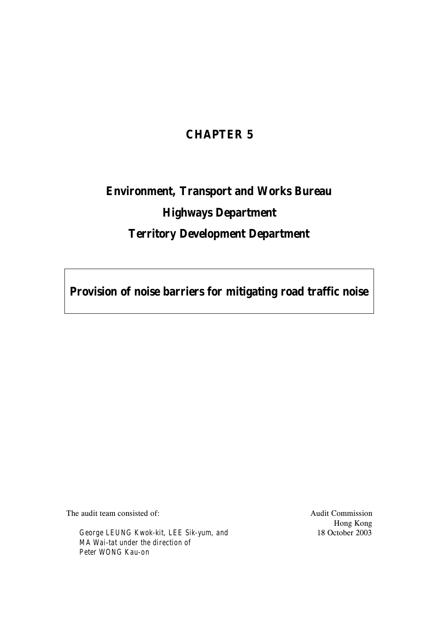# **CHAPTER 5**

# **Environment, Transport and Works Bureau Highways Department Territory Development Department**

**Provision of noise barriers for mitigating road traffic noise**

The audit team consisted of:

*George LEUNG Kwok-kit, LEE Sik-yum, and MA Wai-tat under the direction of Peter WONG Kau-on*

Audit Commission Hong Kong 18 October 2003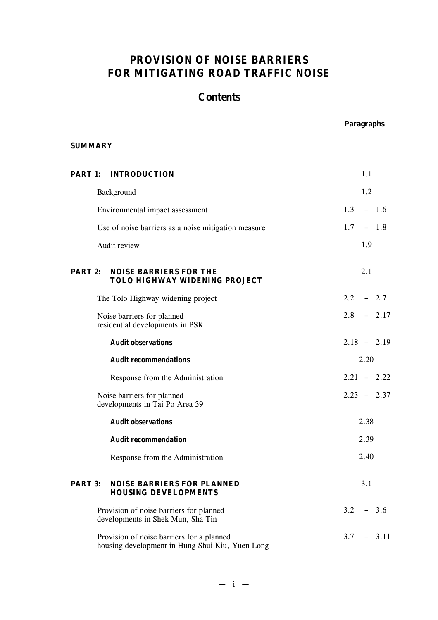# **PROVISION OF NOISE BARRIERS FOR MITIGATING ROAD TRAFFIC NOISE**

# **Contents**

## **Paragraphs**

## **SUMMARY**

| <b>PART 1:</b>                                                                      | <b>INTRODUCTION</b>                                                                          | 1.1                     |
|-------------------------------------------------------------------------------------|----------------------------------------------------------------------------------------------|-------------------------|
|                                                                                     | Background                                                                                   | 1.2                     |
|                                                                                     | Environmental impact assessment                                                              | 1.3<br>$-1.6$           |
|                                                                                     | Use of noise barriers as a noise mitigation measure                                          | $1.7^{\circ}$<br>$-1.8$ |
|                                                                                     | Audit review                                                                                 | 1.9                     |
| PART 2:                                                                             | <b>NOISE BARRIERS FOR THE</b><br>TOLO HIGHWAY WIDENING PROJECT                               | 2.1                     |
|                                                                                     | The Tolo Highway widening project                                                            | $2.2^{\circ}$<br>$-2.7$ |
|                                                                                     | Noise barriers for planned<br>residential developments in PSK                                | 2.8<br>$-2.17$          |
|                                                                                     | <b>Audit observations</b>                                                                    | $2.18 - 2.19$           |
|                                                                                     | <b>Audit recommendations</b>                                                                 | 2.20                    |
|                                                                                     | Response from the Administration                                                             | $2.21 - 2.22$           |
|                                                                                     | Noise barriers for planned<br>developments in Tai Po Area 39                                 | $2.23 - 2.37$           |
|                                                                                     | <b>Audit observations</b>                                                                    | 2.38                    |
|                                                                                     | <b>Audit recommendation</b>                                                                  | 2.39                    |
|                                                                                     | Response from the Administration                                                             | 2.40                    |
| <b>PART 3:</b>                                                                      | <b>NOISE BARRIERS FOR PLANNED</b><br><b>HOUSING DEVELOPMENTS</b>                             | 3.1                     |
| 3.2<br>Provision of noise barriers for planned<br>developments in Shek Mun, Sha Tin |                                                                                              |                         |
|                                                                                     | Provision of noise barriers for a planned<br>housing development in Hung Shui Kiu, Yuen Long | 3.7<br>3.11             |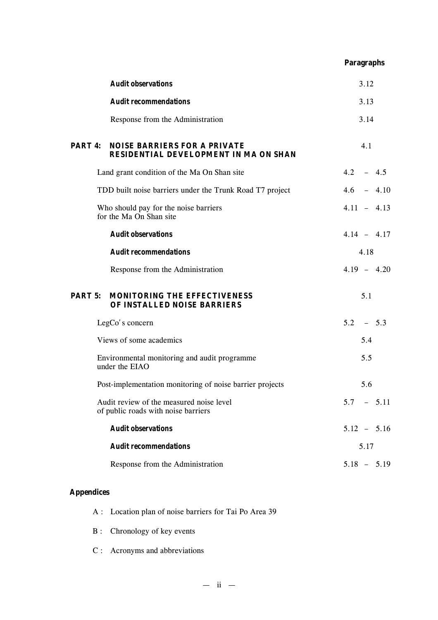|         |                                                                                     | <b>Paragraphs</b> |
|---------|-------------------------------------------------------------------------------------|-------------------|
|         | <b>Audit observations</b>                                                           | 3.12              |
|         | <b>Audit recommendations</b>                                                        | 3.13              |
|         | Response from the Administration                                                    | 3.14              |
| PART 4: | <b>NOISE BARRIERS FOR A PRIVATE</b><br><b>RESIDENTIAL DEVELOPMENT IN MA ON SHAN</b> | 4.1               |
|         | Land grant condition of the Ma On Shan site                                         | $4.2 - 4.5$       |
|         | TDD built noise barriers under the Trunk Road T7 project                            | $4.6 - 4.10$      |
|         | Who should pay for the noise barriers<br>for the Ma On Shan site                    | $4.11 - 4.13$     |
|         | <b>Audit observations</b>                                                           | $4.14 - 4.17$     |
|         | <b>Audit recommendations</b>                                                        | 4.18              |
|         | Response from the Administration                                                    | $4.19 - 4.20$     |
| PART 5: | <b>MONITORING THE EFFECTIVENESS</b><br>OF INSTALLED NOISE BARRIERS                  | 5.1               |
|         | LegCo's concern                                                                     | $5.2 - 5.3$       |
|         | Views of some academics                                                             | 5.4               |
|         | Environmental monitoring and audit programme<br>under the EIAO                      | 5.5               |
|         | Post-implementation monitoring of noise barrier projects                            | 5.6               |
|         | Audit review of the measured noise level<br>of public roads with noise barriers     | $5.7 - 5.11$      |
|         | <b>Audit observations</b>                                                           | $5.12 - 5.16$     |
|         | <b>Audit recommendations</b>                                                        | 5.17              |
|         | Response from the Administration                                                    | $5.18 - 5.19$     |

# **Appendices**

- A : Location plan of noise barriers for Tai Po Area 39
- B : Chronology of key events
- C : Acronyms and abbreviations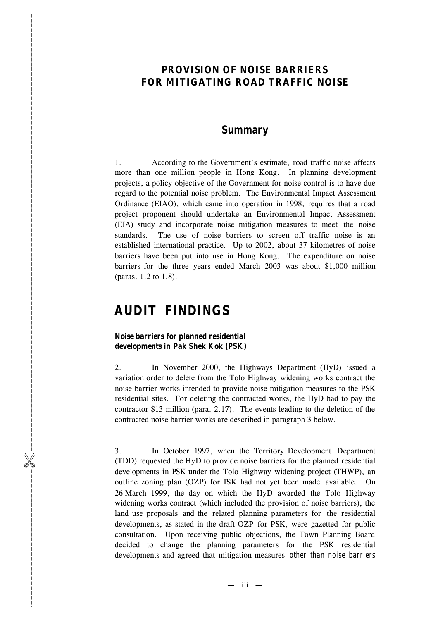## **PROVISION OF NOISE BARRIERS FOR MITIGATING ROAD TRAFFIC NOISE**

## **Summary**

1. According to the Government 's estimate, road traffic noise affects more than one million people in Hong Kong. In planning development projects, a policy objective of the Government for noise control is to have due regard to the potential noise problem. The Environmental Impact Assessment Ordinance (EIA O), which came into operation in 1998, requires that a road project proponent should undertake an Environmental Impact Assessment (EIA) study and incorporate noise mitigation measures to meet the noise standards. The use of noise barriers to screen off traffic noise is a n established international practice. Up to 2002, about 37 kilometres of noise barriers have been put into use in Hong Kong. The expenditure on noise barriers for the three years ended March 2003 was about \$1,000 million (paras. 1.2 to 1.8). **PROVISION OF NOISE BARRIERS**<br> **FOR MITIGATING ROAD TRAFFIC NOISE**<br> **Summary**<br>
1... Assuming to the Government's estimate, and traffic minigate Assuments and the mitigation measure within properties in Figs. Non-<br>
registe

# **AUDIT FINDINGS**

## **Noise barriers for planned residential developments in Pak Shek Kok (PSK)**

2. In November 2000, the Highways Department (HyD ) issued a variation order to delete from the Tolo Highway widening works contract the noise barrier works intended to provide noise mitigation measures to the PSK residential sites. For deleting the contracted works, the HyD had to pay the contractor \$13 million (para. 2.17). The events leading to the deletion of the contracted noise barrier works are described in paragraph 3 below.

3. In October 1997, when the Territory Development Department (TDD) requested the HyD to provide noise barriers for the planned residential developments in PSK under the Tolo Highway widening project (THWP ), an outline zoning plan (OZP) for PSK had not yet been made available. On 26 March 1999, the day on which the HyD awarded the Tolo Highway widening works contract (which included the provision of noise barriers), the land use proposals and the related planning parameters for the residential developments, as stated in the draft OZP for PSK , were gazetted for public consultation. Upon receiving public objections, the Town Planning Board decided to change the planning parameters for the PSK residential

— iii —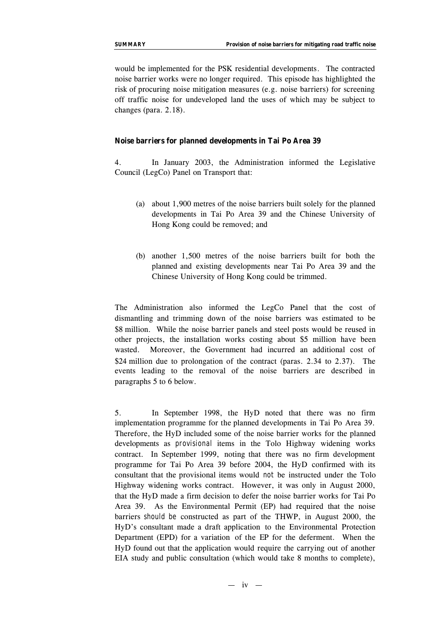would be implemented for the PSK residential developments. The contracted noise barrier works were no longer required. This episode has highlighted the risk of procuring noise mitigation measures (e.g. noise barriers) for screening off traffic noise for undeveloped land the uses of which may be subject to changes (para. 2.18).

#### **Noise barriers for planned developments in Tai Po Area 39**

4. In January 2003, the Administration informed the Legislative Council (LegCo) Panel on Transport that:

- (a) about 1,900 metres of the noise barriers built solely for the planned developments in Tai Po Area 39 and the Chinese University of Hong Kong could be removed; and
- (b) another 1,500 metres of the noise barriers built for both the planned and existing developments near Tai Po Area 39 and the Chinese University of Hong Kong could be trimmed.

The Administration also informed the LegCo Panel that the cost of dismantling and trimming down of the noise barriers was estimated to be \$8 million. While the noise barrier panels and steel posts would be reused in other projects, the installation works costing about \$5 million have been wasted. Moreover, the Government had incurred an additional cost of \$24 million due to prolongation of the contract (paras. 2.34 to 2.37). The events leading to the removal of the noise barriers are described in paragraphs 5 to 6 below.

5. In September 1998, the HyD noted that there was no firm implementation programme for the planned developments in Tai Po Area 39. Therefore, the HyD included some of the noise barrier works for the planned developments as *provisional* items in the Tolo Highway widening works contract. In September 1999, noting that there was no firm development programme for Tai Po Area 39 before 2004, the HyD confirmed with its consultant that the provisional items would *not* be instructed under the Tolo Highway widening works contract. However, it was only in August 2000, that the HyD made a firm decision to defer the noise barrier works for Tai Po Area 39. As the Environmental Permit (EP) had required that the noise barriers *should be* constructed as part of the THWP, in August 2000, the HyD's consultant made a draft application to the Environmental Protection Department (EPD) for a variation of the EP for the deferment. When the HyD found out that the application would require the carrying out of another EIA study and public consultation (which would take 8 months to complete),

 $- iv -$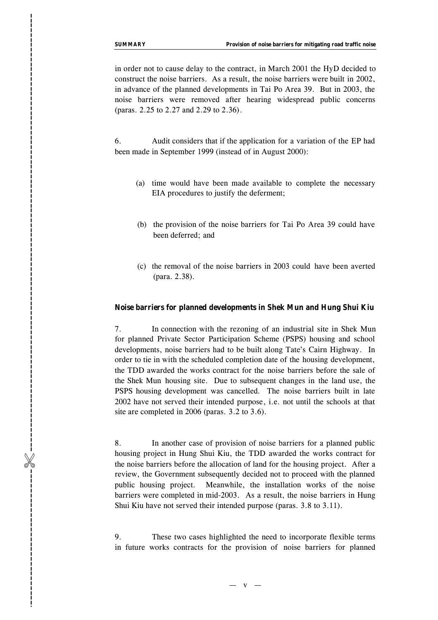in order not to cause delay to the contract, in March 2001 the HyD decided to construct the noise barriers. As a result, the noise barriers were built in 2002, in advance of the planned development s in Tai Po Area 39. But in 2003, the noise barriers were removed after hearing widespread public concerns (paras. 2.25 to 2.27 and 2.29 to 2.36) .

6. Audit considers that if the application for a variation of the E P had been made in September 1999 (instead of in August 2000) :

- (a) time would have been made available to complete the necessary EIA procedures to justify the deferment;
- (b) the provision of the noise barriers for Tai Po Area 39 could have been deferred ; and
- (c) the removal of the noise barriers in 2003 could have been averted (para. 2.3 8).

#### **Noise barriers for planned developments in Shek Mun and Hung Shui Kiu**

7. In connection with the rezoning of an industrial site in Shek Mun for planned Private Sector Participation Scheme (PSPS) housing and school developments, noise barriers had to be built along Tate 's Cairn Highway. In order to tie in with the scheduled completion date of the housing development, the TDD awarded the works contract for the noise barriers before the sale of the Shek Mun housing site. Due to subsequent changes in the land use, the PSPS housing development was cancelled. The noise barriers built in late 2002 have not served their intended purpose, i.e. not until the schools at that site are completed in 2006 (paras . 3.2 to 3.6) . **EXERCAY Provision Contracts for the contracts for the provision of the provision of the provision of the provision of noise barriers for the planned of noise barriers for the provision of the provision of the provision** 

8. In another case of provision of noise barriers for a planned public housing project in Hung Shui Kiu, the TDD awarded the works contract for the noise barriers before the allocation of land for the housing project. After a review, the Government subsequently decided not to proceed with the planned public housing project. Meanwhile, the installation works of the noise barriers were completed in mid-2003. As a result, the noise barriers in Hung Shui Kiu have not served their intended purpose (paras. 3.8 to 3.11) .

9. These two cases highlighted the need to incorporate flexible terms

 $-$  v  $-$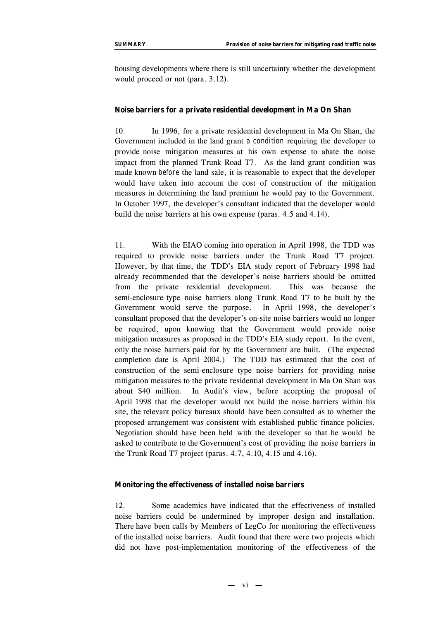housing developments where there is still uncertainty whether the development would proceed or not (para. 3.12).

#### **Noise barriers for a private residential development in Ma On Shan**

10. In 1996, for a private residential development in Ma On Shan, the Government included in the land grant *a condition* requiring the developer to provide noise mitigation measures at his own expense to abate the noise impact from the planned Trunk Road T7. As the land grant condition was made known *before* the land sale, it is reasonable to expect that the developer would have taken into account the cost of construction of the mitigation measures in determining the land premium he would pay to the Government. In October 1997, the developer's consultant indicated that the developer would build the noise barriers at his own expense (paras. 4.5 and 4.14).

11. With the EIAO coming into operation in April 1998, the TDD was required to provide noise barriers under the Trunk Road T7 project. However, by that time, the TDD's EIA study report of February 1998 had already recommended that the developer's noise barriers should be omitted from the private residential development. This was because the semi-enclosure type noise barriers along Trunk Road T7 to be built by the Government would serve the purpose. In April 1998, the developer's consultant proposed that the developer's on-site noise barriers would no longer be required, upon knowing that the Government would provide noise mitigation measures as proposed in the TDD's EIA study report. In the event, only the noise barriers paid for by the Government are built. (The expected completion date is April 2004.) The TDD has estimated that the cost of construction of the semi-enclosure type noise barriers for providing noise mitigation measures to the private residential development in Ma On Shan was about \$40 million. In Audit's view, before accepting the proposal of April 1998 that the developer would not build the noise barriers within his site, the relevant policy bureaux should have been consulted as to whether the proposed arrangement was consistent with established public finance policies. Negotiation should have been held with the developer so that he would be asked to contribute to the Government's cost of providing the noise barriers in the Trunk Road T7 project (paras. 4.7, 4.10, 4.15 and 4.16).

#### **Monitoring the effectiveness of installed noise barriers**

12. Some academics have indicated that the effectiveness of installed noise barriers could be undermined by improper design and installation. There have been calls by Members of LegCo for monitoring the effectiveness of the installed noise barriers. Audit found that there were two projects which did not have post-implementation monitoring of the effectiveness of the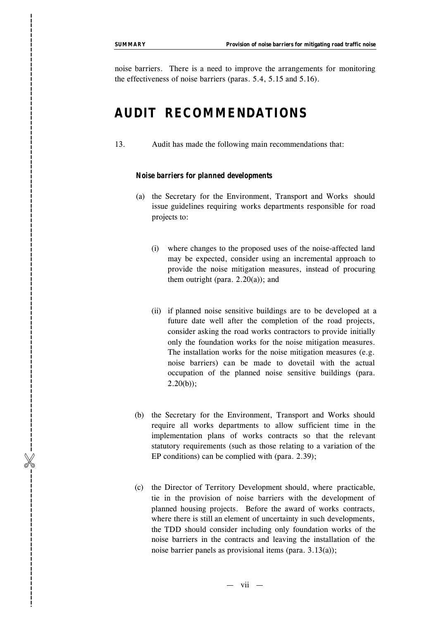noise barriers. There is a need to improve the arrangements for monitoring the effectiveness of noise barriers (paras. 5.4, 5.15 and 5.16).

# **AUDIT RECOMMENDATIONS**

13 . Audit has made the following main recommendations that:

#### *Noise barriers for planned developments*

- (a) the Secretary for the Environment, Transport and Works should issue guidelines requiring works departments responsible for road projects to :
	- (i) where changes to the proposed uses of the noise-affected land may be expected, consider using an incremental approach to provide the noise mitigation measures, instead of procuring them outright (para.  $2.20(a)$ ); and
- (ii) if planned noise sensitive buildings are to be developed at a future date well after the completion of the road projects, consider asking the road works contractor s to provide initially only the foundation works for the noise mitigation measures. The installation works for the noise mitigation measures (e.g. noise barriers) can be made to dovetail with the actual occupation of the planned noise sensitive buildings (para.  $2.20(b)$ ; **EXEMENT Provision of the Exercision Constrainer is a method of the effectiveness of moisc hardeness (paras. 5.4, 5.13 and 5.16).**<br> **AUDIT RECOMMENDATIONS**<br> **EXERCOMMENDATIONS**<br> **EXERCOMMENDATIONS**<br> **EXERCOMMENDATIONS**<br>
	- (b) the Secretary for the Environment, Transport and Works should require all works departments to allow sufficient time in the implementation plans of works contracts so that the relevant statutory requirements (such as those relating to a variation of the EP conditions) can be complied with (para. 2.39);
	- ( c ) the Director of Territory Development should, where practicable , tie in the provision of noise barriers with the development of planned housing projects. Before the award of work s contracts, where there is still an element of uncertainty in such developments, the TDD should consider including only foundation works of the noise barriers in the contracts and leaving the installation of the

— vii —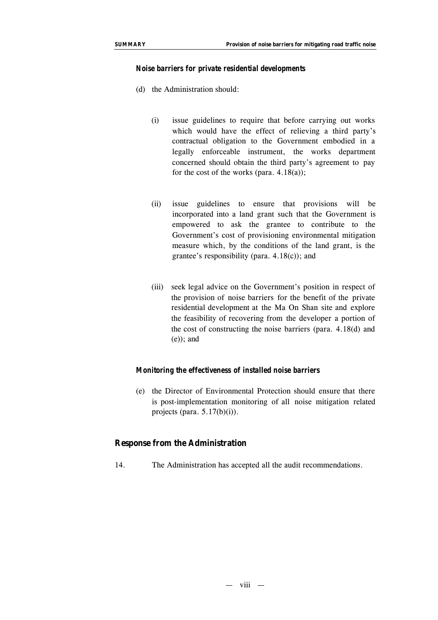#### *Noise barriers for private residential developments*

- (d) the Administration should:
	- (i) issue guidelines to require that before carrying out works which would have the effect of relieving a third party's contractual obligation to the Government embodied in a legally enforceable instrument, the works department concerned should obtain the third party's agreement to pay for the cost of the works (para.  $4.18(a)$ );
	- (ii) issue guidelines to ensure that provisions will be incorporated into a land grant such that the Government is empowered to ask the grantee to contribute to the Government's cost of provisioning environmental mitigation measure which, by the conditions of the land grant, is the grantee's responsibility (para. 4.18(c)); and
	- (iii) seek legal advice on the Government's position in respect of the provision of noise barriers for the benefit of the private residential development at the Ma On Shan site and explore the feasibility of recovering from the developer a portion of the cost of constructing the noise barriers (para. 4.18(d) and (e)); and

#### *Monitoring the effectiveness of installed noise barriers*

(e) the Director of Environmental Protection should ensure that there is post-implementation monitoring of all noise mitigation related projects (para.  $5.17(b)(i)$ ).

## **Response from the Administration**

14. The Administration has accepted all the audit recommendations.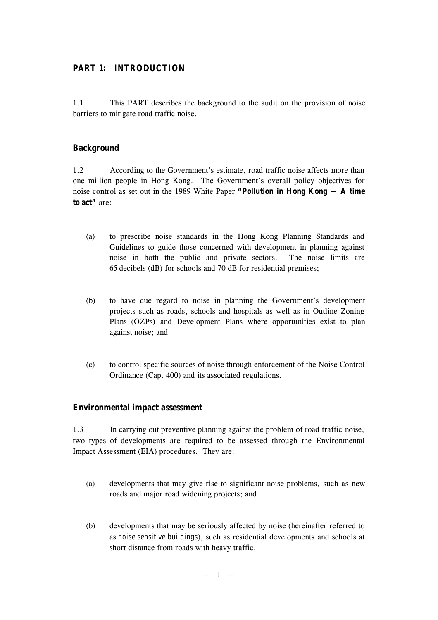## **PART 1: INTRODUCTION**

1.1 This PART describes the background to the audit on the provision of noise barriers to mitigate road traffic noise.

## **Background**

1.2 According to the Government's estimate, road traffic noise affects more than one million people in Hong Kong. The Government's overall policy objectives for noise control as set out in the 1989 White Paper **"Pollution in Hong Kong — A time to act"** are:

- (a) to prescribe noise standards in the Hong Kong Planning Standards and Guidelines to guide those concerned with development in planning against noise in both the public and private sectors. The noise limits are 65 decibels (dB) for schools and 70 dB for residential premises;
- (b) to have due regard to noise in planning the Government's development projects such as roads, schools and hospitals as well as in Outline Zoning Plans (OZPs) and Development Plans where opportunities exist to plan against noise; and
- (c) to control specific sources of noise through enforcement of the Noise Control Ordinance (Cap. 400) and its associated regulations.

## **Environmental impact assessment**

1.3 In carrying out preventive planning against the problem of road traffic noise, two types of developments are required to be assessed through the Environmental Impact Assessment (EIA) procedures. They are:

- (a) developments that may give rise to significant noise problems, such as new roads and major road widening projects; and
- (b) developments that may be seriously affected by noise (hereinafter referred to as *noise sensitive buildings*), such as residential developments and schools at short distance from roads with heavy traffic.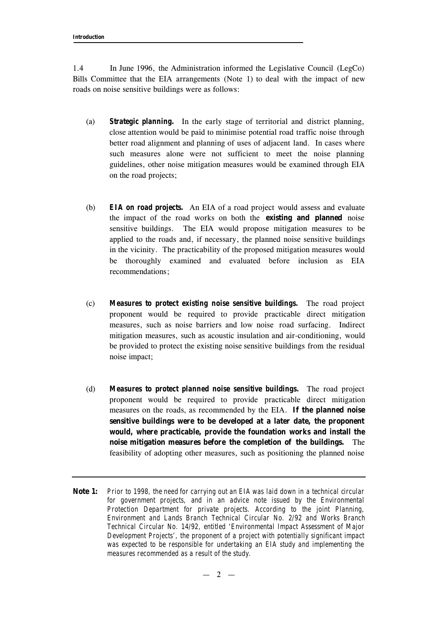1.4 In June 1996, the Administration informed the Legislative Council (LegCo) Bills Committee that the EIA arrangements (Note 1) to deal with the impact of new roads on noise sensitive buildings were as follows:

- (a) *Strategic planning.* In the early stage of territorial and district planning, close attention would be paid to minimise potential road traffic noise through better road alignment and planning of uses of adjacent land. In cases where such measures alone were not sufficient to meet the noise planning guidelines, other noise mitigation measures would be examined through EIA on the road projects;
- (b) *EIA on road projects.* An EIA of a road project would assess and evaluate the impact of the road works on both the **existing and planned** noise sensitive buildings. The EIA would propose mitigation measures to be applied to the roads and, if necessary, the planned noise sensitive buildings in the vicinity. The practicability of the proposed mitigation measures would be thoroughly examined and evaluated before inclusion as EIA recommendations;
- (c) *Measures to protect existing noise sensitive buildings.* The road project proponent would be required to provide practicable direct mitigation measures, such as noise barriers and low noise road surfacing. Indirect mitigation measures, such as acoustic insulation and air-conditioning, would be provided to protect the existing noise sensitive buildings from the residual noise impact;
- (d) *Measures to protect planned noise sensitive buildings.* The road project proponent would be required to provide practicable direct mitigation measures on the roads, as recommended by the EIA. **If the planned noise sensitive buildings were to be developed at a later date, the proponent would, where practicable, provide the foundation works and install the noise mitigation measures before the completion of the buildings.** The feasibility of adopting other measures, such as positioning the planned noise
- **Note 1:** *Prior to 1998, the need for carrying out an EIA was laid down in a technical circular for government projects, and in an advice note issued by the Environmental Protection Department for private projects. According to the joint Planning, Environment and Lands Branch Technical Circular No. 2/92 and Works Branch Technical Circular No. 14/92, entitled 'Environmental Impact Assessment of Major Development Projects', the proponent of a project with potentially significant impact was expected to be responsible for undertaking an EIA study and implementing the measures recommended as a result of the study.*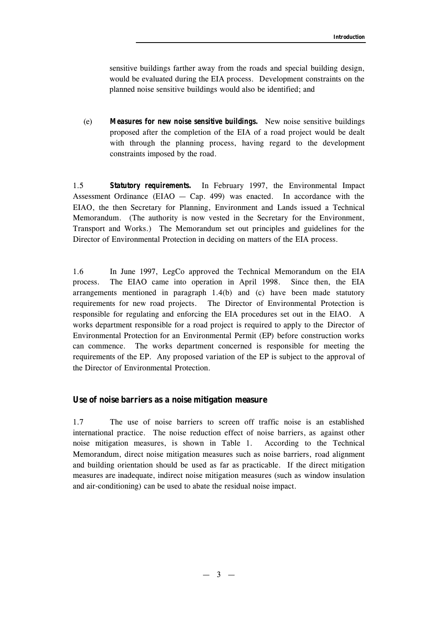sensitive buildings farther away from the roads and special building design, would be evaluated during the EIA process. Development constraints on the planned noise sensitive buildings would also be identified; and

(e) *Measures for new noise sensitive buildings.* New noise sensitive buildings proposed after the completion of the EIA of a road project would be dealt with through the planning process, having regard to the development constraints imposed by the road.

1.5 *Statutory requirements.* In February 1997, the Environmental Impact Assessment Ordinance (EIAO  $-$  Cap. 499) was enacted. In accordance with the EIAO, the then Secretary for Planning, Environment and Lands issued a Technical Memorandum. (The authority is now vested in the Secretary for the Environment, Transport and Works.) The Memorandum set out principles and guidelines for the Director of Environmental Protection in deciding on matters of the EIA process.

1.6 In June 1997, LegCo approved the Technical Memorandum on the EIA process. The EIAO came into operation in April 1998. Since then, the EIA arrangements mentioned in paragraph 1.4(b) and (c) have been made statutory requirements for new road projects. The Director of Environmental Protection is responsible for regulating and enforcing the EIA procedures set out in the EIAO. A works department responsible for a road project is required to apply to the Director of Environmental Protection for an Environmental Permit (EP) before construction works can commence. The works department concerned is responsible for meeting the requirements of the EP. Any proposed variation of the EP is subject to the approval of the Director of Environmental Protection.

## **Use of noise barriers as a noise mitigation measure**

1.7 The use of noise barriers to screen off traffic noise is an established international practice. The noise reduction effect of noise barriers, as against other noise mitigation measures, is shown in Table 1. According to the Technical Memorandum, direct noise mitigation measures such as noise barriers, road alignment and building orientation should be used as far as practicable. If the direct mitigation measures are inadequate, indirect noise mitigation measures (such as window insulation and air-conditioning) can be used to abate the residual noise impact.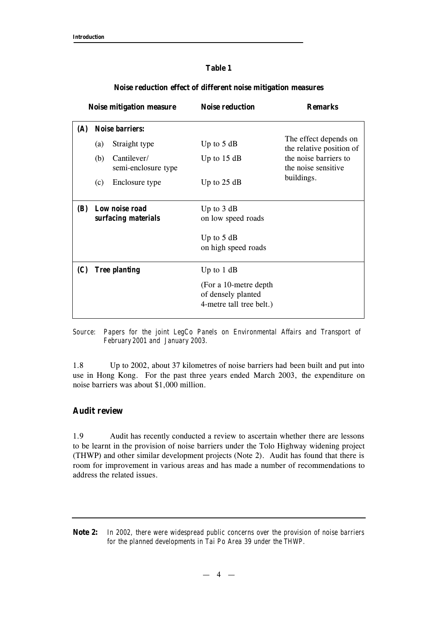## **Table 1**

| <b>Noise mitigation measure</b> |                                       |                                    | <b>Noise reduction</b>                                                   | <b>Remarks</b>                                    |  |
|---------------------------------|---------------------------------------|------------------------------------|--------------------------------------------------------------------------|---------------------------------------------------|--|
| <b>(A)</b>                      |                                       | <b>Noise barriers:</b>             |                                                                          |                                                   |  |
|                                 | $\left( a\right)$                     | Straight type                      | Up to $5 dB$                                                             | The effect depends on<br>the relative position of |  |
|                                 | (b)                                   | Cantilever/<br>semi-enclosure type | Up to $15 dB$                                                            | the noise barriers to<br>the noise sensitive      |  |
|                                 | (c)                                   | Enclosure type                     | Up to $25$ dB                                                            | buildings.                                        |  |
| <b>(B)</b>                      | Low noise road<br>surfacing materials |                                    | Up to $3 dB$<br>on low speed roads                                       |                                                   |  |
|                                 |                                       |                                    | Up to $5 dB$<br>on high speed roads                                      |                                                   |  |
| (C)                             | <b>Tree planting</b>                  |                                    | Up to $1$ dB                                                             |                                                   |  |
|                                 |                                       |                                    | (For a 10-metre depth)<br>of densely planted<br>4-metre tall tree belt.) |                                                   |  |

## **Noise reduction effect of different noise mitigation measures**

*Source: Papers for the joint LegCo Panels on Environmental Affairs and Transport of February 2001 and January 2003.*

1.8 Up to 2002, about 37 kilometres of noise barriers had been built and put into use in Hong Kong. For the past three years ended March 2003, the expenditure on noise barriers was about \$1,000 million.

## **Audit review**

1.9 Audit has recently conducted a review to ascertain whether there are lessons to be learnt in the provision of noise barriers under the Tolo Highway widening project (THWP) and other similar development projects (Note 2). Audit has found that there is room for improvement in various areas and has made a number of recommendations to address the related issues.

**Note 2:** *In 2002, there were widespread public concerns over the provision of noise barriers for the planned developments in Tai Po Area 39 under the THWP.*

 $-4 -$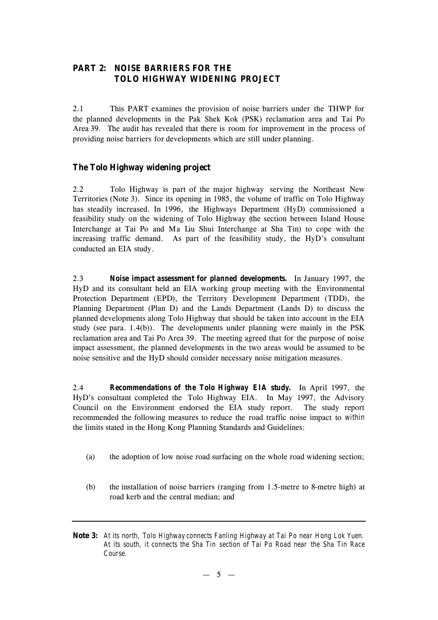## **PART 2: NOISE BARRIERS FOR THE TOLO HIGHWAY WIDENING PROJECT**

2.1 This PART examines the provision of noise barriers under the THWP for the planned developments in the Pak Shek Kok (PSK) reclamation area and Tai Po Area 39. The audit has revealed that there is room for improvement in the process of providing noise barriers for developments which are still under planning.

## **The Tolo Highway widening project**

2.2 Tolo Highway is part of the major highway serving the Northeast New Territories (Note 3). Since its opening in 1985, the volume of traffic on Tolo Highway has steadily increased. In 1996, the Highways Department (HyD) commissioned a feasibility study on the widening of Tolo Highway (the section between Island House Interchange at Tai Po and Ma Liu Shui Interchange at Sha Tin) to cope with the increasing traffic demand. As part of the feasibility study, the HyD's consultant conducted an EIA study.

2.3 *Noise impact assessment for planned developments.* In January 1997, the HyD and its consultant held an EIA working group meeting with the Environmental Protection Department (EPD), the Territory Development Department (TDD), the Planning Department (Plan D) and the Lands Department (Lands D) to discuss the planned developments along Tolo Highway that should be taken into account in the EIA study (see para. 1.4(b)). The developments under planning were mainly in the PSK reclamation area and Tai Po Area 39. The meeting agreed that for the purpose of noise impact assessment, the planned developments in the two areas would be assumed to be noise sensitive and the HyD should consider necessary noise mitigation measures.

2.4 *Recommendations of the Tolo Highway EIA study.* In April 1997, the HyD's consultant completed the Tolo Highway EIA. In May 1997, the Advisory Council on the Environment endorsed the EIA study report. The study report recommended the following measures to reduce the road traffic noise impact to *within* the limits stated in the Hong Kong Planning Standards and Guidelines:

- (a) the adoption of low noise road surfacing on the whole road widening section;
- (b) the installation of noise barriers (ranging from 1.5-metre to 8-metre high) at road kerb and the central median; and
- **Note 3:** *At its north, Tolo Highway connects Fanling Highway at Tai Po near Hong Lok Yuen. At its south, it connects the Sha Tin section of Tai Po Road near the Sha Tin Race Course.*

 $-5-$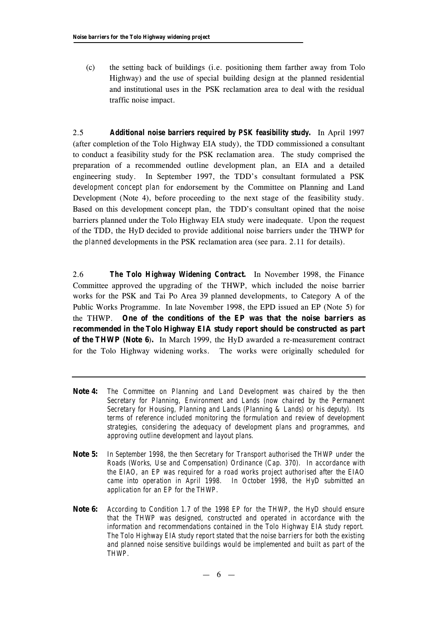(c) the setting back of buildings (i.e. positioning them farther away from Tolo Highway) and the use of special building design at the planned residential and institutional uses in the PSK reclamation area to deal with the residual traffic noise impact.

2.5 *Additional noise barriers required by PSK feasibility study.* In April 1997 (after completion of the Tolo Highway EIA study), the TDD commissioned a consultant to conduct a feasibility study for the PSK reclamation area. The study comprised the preparation of a recommended outline development plan, an EIA and a detailed engineering study. In September 1997, the TDD's consultant formulated a PSK *development concept plan* for endorsement by the Committee on Planning and Land Development (Note 4), before proceeding to the next stage of the feasibility study. Based on this development concept plan, the TDD's consultant opined that the noise barriers planned under the Tolo Highway EIA study were inadequate. Upon the request of the TDD, the HyD decided to provide additional noise barriers under the THWP for the *planned* developments in the PSK reclamation area (see para. 2.11 for details).

2.6 *The Tolo Highway Widening Contract.* In November 1998, the Finance Committee approved the upgrading of the THWP, which included the noise barrier works for the PSK and Tai Po Area 39 planned developments, to Category A of the Public Works Programme. In late November 1998, the EPD issued an EP (Note 5) for the THWP. **One of the conditions of the EP was that the noise barriers as recommended in the Tolo Highway EIA study report should be constructed as part of the THWP (Note 6**)**.** In March 1999, the HyD awarded a re-measurement contract for the Tolo Highway widening works. The works were originally scheduled for

- **Note 4:** *The Committee on Planning and Land Development was chaired by the then Secretary for Planning, Environment and Lands (now chaired by the Permanent Secretary for Housing, Planning and Lands (Planning & Lands) or his deputy). Its terms of reference included monitoring the formulation and review of development strategies, considering the adequacy of development plans and programmes, and approving outline development and layout plans.*
- **Note 5:** *In September 1998, the then Secretary for Transport authorised the THWP under the Roads (Works, Use and Compensation) Ordinance (Cap. 370). In accordance with the EIAO, an EP was required for a road works project authorised after the EIAO came into operation in April 1998. In October 1998, the HyD submitted an application for an EP for the THWP.*
- **Note 6:** *According to Condition 1.7 of the 1998 EP for the THWP, the HyD should ensure that the THWP was designed, constructed and operated in accordance with the information and recommendations contained in the Tolo Highway EIA study report. The Tolo Highway EIA study report stated that the noise barriers for both the existing and planned noise sensitive buildings would be implemented and built as part of the THWP.*

 $-6 -$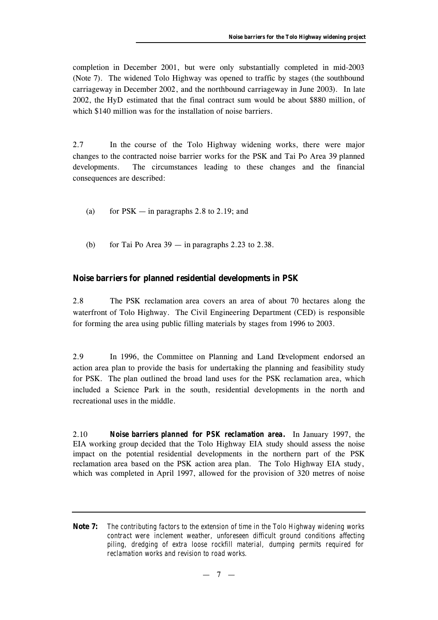completion in December 2001, but were only substantially completed in mid-2003 (Note 7). The widened Tolo Highway was opened to traffic by stages (the southbound carriageway in December 2002, and the northbound carriageway in June 2003). In late 2002, the HyD estimated that the final contract sum would be about \$880 million, of which \$140 million was for the installation of noise barriers.

2.7 In the course of the Tolo Highway widening works, there were major changes to the contracted noise barrier works for the PSK and Tai Po Area 39 planned developments. The circumstances leading to these changes and the financial consequences are described:

- (a) for  $PSK in$  paragraphs 2.8 to 2.19; and
- (b) for Tai Po Area  $39 -$  in paragraphs 2.23 to 2.38.

## **Noise barriers for planned residential developments in PSK**

2.8 The PSK reclamation area covers an area of about 70 hectares along the waterfront of Tolo Highway. The Civil Engineering Department (CED) is responsible for forming the area using public filling materials by stages from 1996 to 2003.

2.9 In 1996, the Committee on Planning and Land Development endorsed an action area plan to provide the basis for undertaking the planning and feasibility study for PSK. The plan outlined the broad land uses for the PSK reclamation area, which included a Science Park in the south, residential developments in the north and recreational uses in the middle.

2.10 *Noise barriers planned for PSK reclamation area.* In January 1997, the EIA working group decided that the Tolo Highway EIA study should assess the noise impact on the potential residential developments in the northern part of the PSK reclamation area based on the PSK action area plan. The Tolo Highway EIA study, which was completed in April 1997, allowed for the provision of 320 metres of noise

**Note 7:** *The contributing factors to the extension of time in the Tolo Highway widening works contract were inclement weather, unforeseen difficult ground conditions affecting piling, dredging of extra loose rockfill material, dumping permits required for reclamation works and revision to road works.*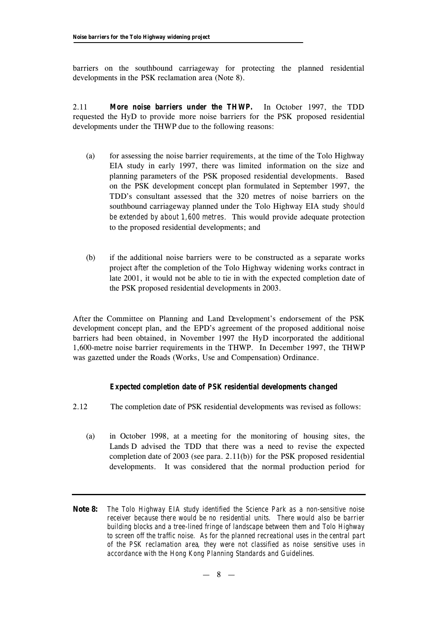barriers on the southbound carriageway for protecting the planned residential developments in the PSK reclamation area (Note 8).

2.11 *More noise barriers under the THWP.* In October 1997, the TDD requested the HyD to provide more noise barriers for the PSK proposed residential developments under the THWP due to the following reasons:

- (a) for assessing the noise barrier requirements, at the time of the Tolo Highway EIA study in early 1997, there was limited information on the size and planning parameters of the PSK proposed residential developments. Based on the PSK development concept plan formulated in September 1997, the TDD's consultant assessed that the 320 metres of noise barriers on the southbound carriageway planned under the Tolo Highway EIA study *should be extended by about 1,600 metres*. This would provide adequate protection to the proposed residential developments; and
- (b) if the additional noise barriers were to be constructed as a separate works project *after* the completion of the Tolo Highway widening works contract in late 2001, it would not be able to tie in with the expected completion date of the PSK proposed residential developments in 2003.

After the Committee on Planning and Land Development's endorsement of the PSK development concept plan, and the EPD's agreement of the proposed additional noise barriers had been obtained, in November 1997 the HyD incorporated the additional 1,600-metre noise barrier requirements in the THWP. In December 1997, the THWP was gazetted under the Roads (Works, Use and Compensation) Ordinance.

## *Expected completion date of PSK residential developments changed*

- 2.12 The completion date of PSK residential developments was revised as follows:
	- (a) in October 1998, at a meeting for the monitoring of housing sites, the Lands D advised the TDD that there was a need to revise the expected completion date of 2003 (see para. 2.11(b)) for the PSK proposed residential developments. It was considered that the normal production period for
- **Note 8:** *The Tolo Highway EIA study identified the Science Park as a non-sensitive noise receiver because there would be no residential units. There would also be barrier building blocks and a tree-lined fringe of landscape between them and Tolo Highway to screen off the traffic noise. As for the planned recreational uses in the central part of the PSK reclamation area, they were not classified as noise sensitive uses in accordance with the Hong Kong Planning Standards and Guidelines.*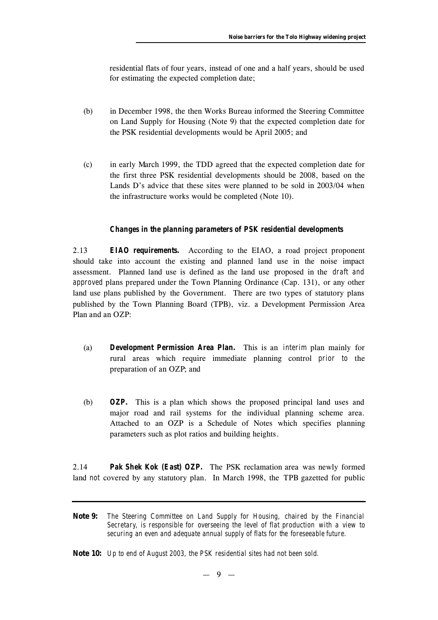residential flats of four years, instead of one and a half years, should be used for estimating the expected completion date;

- (b) in December 1998, the then Works Bureau informed the Steering Committee on Land Supply for Housing (Note 9) that the expected completion date for the PSK residential developments would be April 2005; and
- (c) in early March 1999, the TDD agreed that the expected completion date for the first three PSK residential developments should be 2008, based on the Lands D's advice that these sites were planned to be sold in 2003/04 when the infrastructure works would be completed (Note 10).

#### *Changes in the planning parameters of PSK residential developments*

2.13 *EIAO requirements.* According to the EIAO, a road project proponent should take into account the existing and planned land use in the noise impact assessment. Planned land use is defined as the land use proposed in the *draft and approved* plans prepared under the Town Planning Ordinance (Cap. 131), or any other land use plans published by the Government. There are two types of statutory plans published by the Town Planning Board (TPB), viz. a Development Permission Area Plan and an OZP:

- (a) *Development Permission Area Plan.* This is an *interim* plan mainly for rural areas which require immediate planning control *prior to* the preparation of an OZP; and
- (b) *OZP.* This is a plan which shows the proposed principal land uses and major road and rail systems for the individual planning scheme area. Attached to an OZP is a Schedule of Notes which specifies planning parameters such as plot ratios and building heights.

2.14 *Pak Shek Kok (East) OZP.* The PSK reclamation area was newly formed land *not* covered by any statutory plan. In March 1998, the TPB gazetted for public

**Note 9:** *The Steering Committee on Land Supply for Housing, chaired by the Financial Secretary, is responsible for overseeing the level of flat production with a view to securing an even and adequate annual supply of flats for the foreseeable future.*

**Note 10:** *Up to end of August 2003, the PSK residential sites had not been sold.*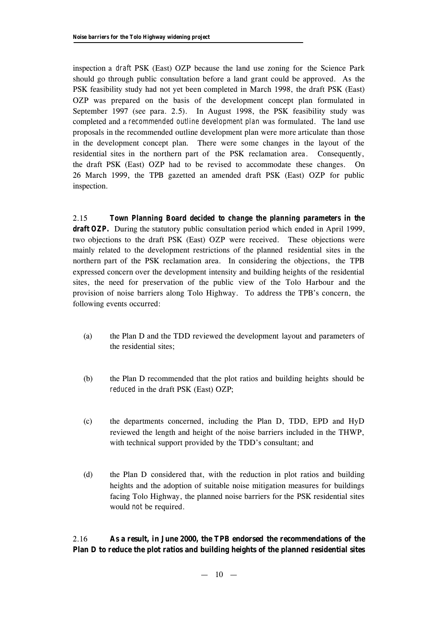inspection a *draft* PSK (East) OZP because the land use zoning for the Science Park should go through public consultation before a land grant could be approved. As the PSK feasibility study had not yet been completed in March 1998, the draft PSK (East) OZP was prepared on the basis of the development concept plan formulated in September 1997 (see para. 2.5). In August 1998, the PSK feasibility study was completed and a *recommended outline development plan* was formulated. The land use proposals in the recommended outline development plan were more articulate than those in the development concept plan. There were some changes in the layout of the residential sites in the northern part of the PSK reclamation area. Consequently, the draft PSK (East) OZP had to be revised to accommodate these changes. On 26 March 1999, the TPB gazetted an amended draft PSK (East) OZP for public inspection.

2.15 *Town Planning Board decided to change the planning parameters in the* **draft OZP.** During the statutory public consultation period which ended in April 1999, two objections to the draft PSK (East) OZP were received. These objections were mainly related to the development restrictions of the planned residential sites in the northern part of the PSK reclamation area. In considering the objections, the TPB expressed concern over the development intensity and building heights of the residential sites, the need for preservation of the public view of the Tolo Harbour and the provision of noise barriers along Tolo Highway. To address the TPB's concern, the following events occurred:

- (a) the Plan D and the TDD reviewed the development layout and parameters of the residential sites;
- (b) the Plan D recommended that the plot ratios and building heights should be *reduced* in the draft PSK (East) OZP;
- (c) the departments concerned, including the Plan D, TDD, EPD and HyD reviewed the length and height of the noise barriers included in the THWP, with technical support provided by the TDD's consultant; and
- (d) the Plan D considered that, with the reduction in plot ratios and building heights and the adoption of suitable noise mitigation measures for buildings facing Tolo Highway, the planned noise barriers for the PSK residential sites would *not* be required.

## 2.16 **As a result, in June 2000, the TPB endorsed the recommendations of the Plan D to reduce the plot ratios and building heights of the planned residential sites**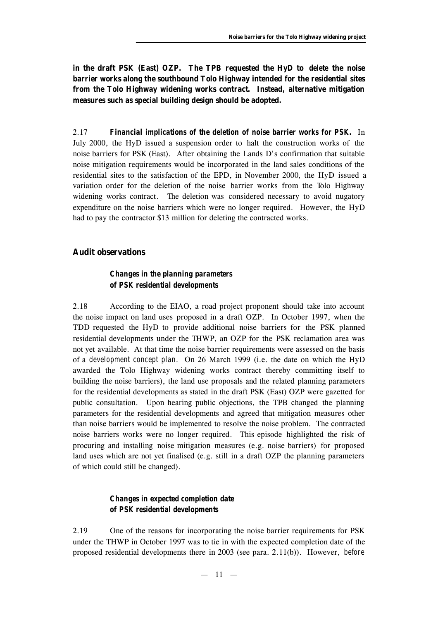**in the draft PSK (East) OZP. The TPB requested the HyD to** *delete* **the noise barrier works along the southbound Tolo Highway intended for the residential sites from the Tolo Highway widening works contract. Instead, alternative mitigation measures such as special building design should be adopted.**

2.17 *Financial implications of the deletion of noise barrier works for PSK.* In July 2000, the HyD issued a suspension order to halt the construction works of the noise barriers for PSK (East). After obtaining the Lands D's confirmation that suitable noise mitigation requirements would be incorporated in the land sales conditions of the residential sites to the satisfaction of the EPD, in November 2000, the HyD issued a variation order for the deletion of the noise barrier works from the Tolo Highway widening works contract. The deletion was considered necessary to avoid nugatory expenditure on the noise barriers which were no longer required. However, the HyD had to pay the contractor \$13 million for deleting the contracted works.

#### **Audit observations**

## *Changes in the planning parameters of PSK residential developments*

2.18 According to the EIAO, a road project proponent should take into account the noise impact on land uses proposed in a draft OZP. In October 1997, when the TDD requested the HyD to provide additional noise barriers for the PSK planned residential developments under the THWP, an OZP for the PSK reclamation area was not yet available. At that time the noise barrier requirements were assessed on the basis of a *development concept plan*. On 26 March 1999 (i.e. the date on which the HyD awarded the Tolo Highway widening works contract thereby committing itself to building the noise barriers), the land use proposals and the related planning parameters for the residential developments as stated in the draft PSK (East) OZP were gazetted for public consultation. Upon hearing public objections, the TPB changed the planning parameters for the residential developments and agreed that mitigation measures other than noise barriers would be implemented to resolve the noise problem. The contracted noise barriers works were no longer required. This episode highlighted the risk of procuring and installing noise mitigation measures (e.g. noise barriers) for proposed land uses which are not yet finalised (e.g. still in a draft OZP the planning parameters of which could still be changed).

## *Changes in expected completion date of PSK residential developments*

2.19 One of the reasons for incorporating the noise barrier requirements for PSK under the THWP in October 1997 was to tie in with the expected completion date of the proposed residential developments there in 2003 (see para. 2.11(b)). However, *before*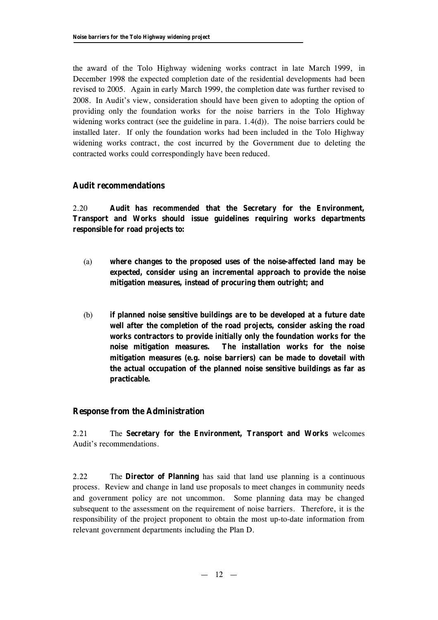the award of the Tolo Highway widening works contract in late March 1999, in December 1998 the expected completion date of the residential developments had been revised to 2005. Again in early March 1999, the completion date was further revised to 2008. In Audit's view, consideration should have been given to adopting the option of providing only the foundation works for the noise barriers in the Tolo Highway widening works contract (see the guideline in para.  $1.4(d)$ ). The noise barriers could be installed later. If only the foundation works had been included in the Tolo Highway widening works contract, the cost incurred by the Government due to deleting the contracted works could correspondingly have been reduced.

## **Audit recommendations**

2.20 **Audit has** *recommended* **that the Secretary for the Environment, Transport and Works should issue guidelines requiring works departments responsible for road projects to:**

- (a) **where changes to the proposed uses of the noise-affected land may be expected, consider using an incremental approach to provide the noise mitigation measures, instead of procuring them outright; and**
- (b) **if planned noise sensitive buildings are to be developed at a future date well after the completion of the road projects, consider asking the road works contractors to provide initially only the foundation works for the noise mitigation measures. The installation works for the noise mitigation measures (e.g. noise barriers) can be made to dovetail with the actual occupation of the planned noise sensitive buildings as far as practicable.**

## **Response from the Administration**

2.21 The **Secretary for the Environment, Transport and Works** welcomes Audit's recommendations.

2.22 The **Director of Planning** has said that land use planning is a continuous process. Review and change in land use proposals to meet changes in community needs and government policy are not uncommon. Some planning data may be changed subsequent to the assessment on the requirement of noise barriers. Therefore, it is the responsibility of the project proponent to obtain the most up-to-date information from relevant government departments including the Plan D.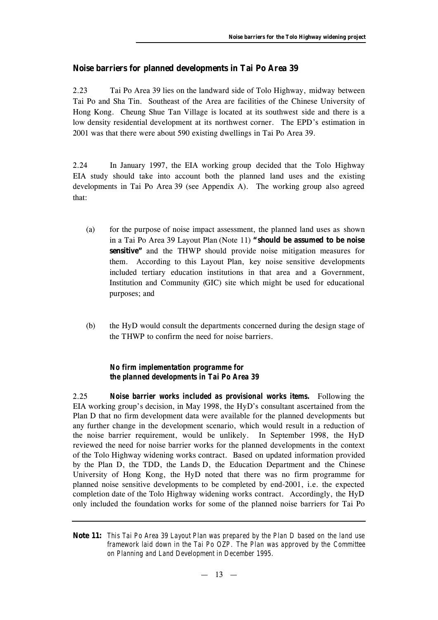## **Noise barriers for planned developments in Tai Po Area 39**

2.23 Tai Po Area 39 lies on the landward side of Tolo Highway, midway between Tai Po and Sha Tin. Southeast of the Area are facilities of the Chinese University of Hong Kong. Cheung Shue Tan Village is located at its southwest side and there is a low density residential development at its northwest corner. The EPD's estimation in 2001 was that there were about 590 existing dwellings in Tai Po Area 39.

2.24 In January 1997, the EIA working group decided that the Tolo Highway EIA study should take into account both the planned land uses and the existing developments in Tai Po Area 39 (see Appendix A). The working group also agreed that:

- (a) for the purpose of noise impact assessment, the planned land uses as shown in a Tai Po Area 39 Layout Plan (Note 11) **"should be assumed to be noise sensitive"** and the THWP should provide noise mitigation measures for them. According to this Layout Plan, key noise sensitive developments included tertiary education institutions in that area and a Government, Institution and Community (GIC) site which might be used for educational purposes; and
- (b) the HyD would consult the departments concerned during the design stage of the THWP to confirm the need for noise barriers.

## *No firm implementation programme for the planned developments in Tai Po Area 39*

2.25 *Noise barrier works included as provisional works items.* Following the EIA working group's decision, in May 1998, the HyD's consultant ascertained from the Plan D that no firm development data were available for the planned developments but any further change in the development scenario, which would result in a reduction of the noise barrier requirement, would be unlikely. In September 1998, the HyD reviewed the need for noise barrier works for the planned developments in the context of the Tolo Highway widening works contract. Based on updated information provided by the Plan D, the TDD, the Lands D, the Education Department and the Chinese University of Hong Kong, the HyD noted that there was no firm programme for planned noise sensitive developments to be completed by end-2001, i.e. the expected completion date of the Tolo Highway widening works contract. Accordingly, the HyD only included the foundation works for some of the planned noise barriers for Tai Po

**Note 11:** *This Tai Po Area 39 Layout Plan was prepared by the Plan D based on the land use framework laid down in the Tai Po OZP. The Plan was approved by the Committee on Planning and Land Development in December 1995.*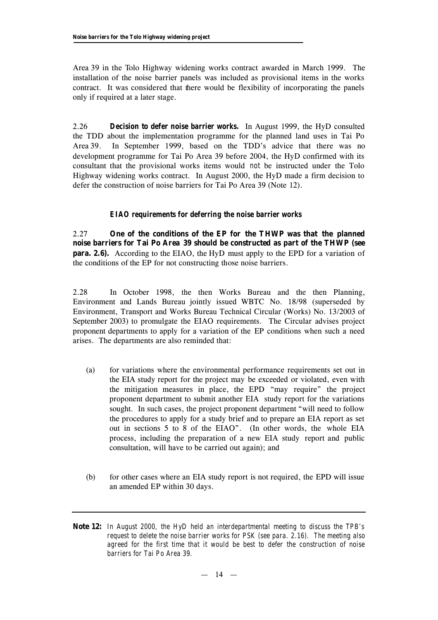Area 39 in the Tolo Highway widening works contract awarded in March 1999. The installation of the noise barrier panels was included as provisional items in the works contract. It was considered that there would be flexibility of incorporating the panels only if required at a later stage.

2.26 *Decision to defer noise barrier works.* In August 1999, the HyD consulted the TDD about the implementation programme for the planned land uses in Tai Po Area 39. In September 1999, based on the TDD's advice that there was no development programme for Tai Po Area 39 before 2004, the HyD confirmed with its consultant that the provisional works items would *not* be instructed under the Tolo Highway widening works contract. In August 2000, the HyD made a firm decision to defer the construction of noise barriers for Tai Po Area 39 (Note 12).

## *EIAO requirements for deferring the noise barrier works*

2.27 **One of the conditions of the EP for the THWP was that the planned noise barriers for Tai Po Area 39 should be constructed as part of the THWP (see para. 2.6).** According to the EIAO, the HyD must apply to the EPD for a variation of the conditions of the EP for not constructing those noise barriers.

2.28 In October 1998, the then Works Bureau and the then Planning, Environment and Lands Bureau jointly issued WBTC No. 18/98 (superseded by Environment, Transport and Works Bureau Technical Circular (Works) No. 13/2003 of September 2003) to promulgate the EIAO requirements. The Circular advises project proponent departments to apply for a variation of the EP conditions when such a need arises. The departments are also reminded that:

- (a) for variations where the environmental performance requirements set out in the EIA study report for the project may be exceeded or violated, even with the mitigation measures in place, the EPD "may require" the project proponent department to submit another EIA study report for the variations sought. In such cases, the project proponent department "will need to follow the procedures to apply for a study brief and to prepare an EIA report as set out in sections 5 to 8 of the EIAO". (In other words, the whole EIA process, including the preparation of a new EIA study report and public consultation, will have to be carried out again); and
- (b) for other cases where an EIA study report is not required, the EPD will issue an amended EP within 30 days.
- **Note 12:** *In August 2000, the HyD held an interdepartmental meeting to discuss the TPB's request to delete the noise barrier works for PSK (see para. 2.16). The meeting also agreed for the first time that it would be best to defer the construction of noise barriers for Tai Po Area 39.*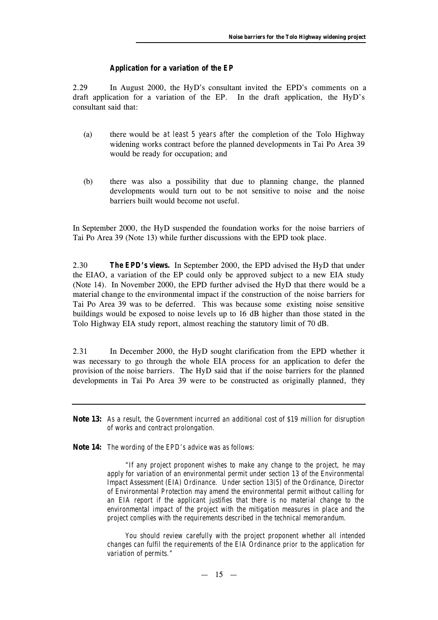#### *Application for a variation of the EP*

2.29 In August 2000, the HyD's consultant invited the EPD's comments on a draft application for a variation of the EP. In the draft application, the HyD's consultant said that:

- (a) there would be *at least 5 years after* the completion of the Tolo Highway widening works contract before the planned developments in Tai Po Area 39 would be ready for occupation; and
- (b) there was also a possibility that due to planning change, the planned developments would turn out to be not sensitive to noise and the noise barriers built would become not useful.

In September 2000, the HyD suspended the foundation works for the noise barriers of Tai Po Area 39 (Note 13) while further discussions with the EPD took place.

2.30 *The EPD's views.* In September 2000, the EPD advised the HyD that under the EIAO, a variation of the EP could only be approved subject to a new EIA study (Note 14). In November 2000, the EPD further advised the HyD that there would be a material change to the environmental impact if the construction of the noise barriers for Tai Po Area 39 was to be deferred. This was because some existing noise sensitive buildings would be exposed to noise levels up to 16 dB higher than those stated in the Tolo Highway EIA study report, almost reaching the statutory limit of 70 dB.

2.31 In December 2000, the HyD sought clarification from the EPD whether it was necessary to go through the whole EIA process for an application to defer the provision of the noise barriers. The HyD said that if the noise barriers for the planned developments in Tai Po Area 39 were to be constructed as originally planned, *they*

- **Note 13:** *As a result, the Government incurred an additional cost of \$19 million for disruption of works and contract prolongation.*
- **Note 14:** *The wording of the EPD's advice was as follows:*

*"If any project proponent wishes to make any change to the project, he may apply for variation of an environmental permit under section 13 of the Environmental Impact Assessment (EIA) Ordinance. Under section 13(5) of the Ordinance, Director of Environmental Protection may amend the environmental permit without calling for an EIA report if the applicant justifies that there is no material change to the environmental impact of the project with the mitigation measures in place and the project complies with the requirements described in the technical memorandum.*

*You should review carefully with the project proponent whether all intended changes can fulfil the requirements of the EIA Ordinance prior to the application for variation of permits."*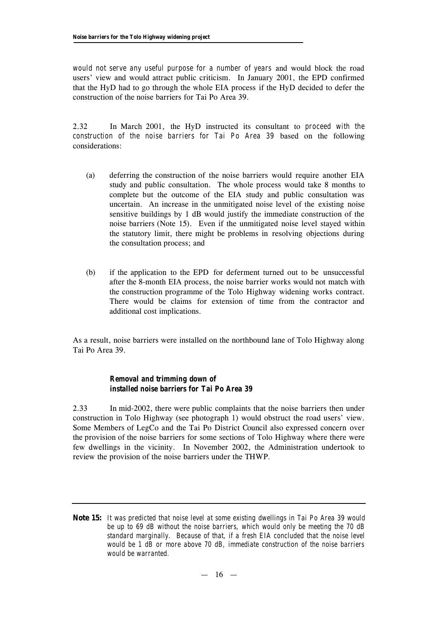*would not serve any useful purpose for a number of years* and would block the road users' view and would attract public criticism. In January 2001, the EPD confirmed that the HyD had to go through the whole EIA process if the HyD decided to defer the construction of the noise barriers for Tai Po Area 39.

2.32 In March 2001, the HyD instructed its consultant to *proceed with the construction of the noise barriers for Tai Po Area 39* based on the following considerations:

- (a) deferring the construction of the noise barriers would require another EIA study and public consultation. The whole process would take 8 months to complete but the outcome of the EIA study and public consultation was uncertain. An increase in the unmitigated noise level of the existing noise sensitive buildings by 1 dB would justify the immediate construction of the noise barriers (Note 15). Even if the unmitigated noise level stayed within the statutory limit, there might be problems in resolving objections during the consultation process; and
- (b) if the application to the EPD for deferment turned out to be unsuccessful after the 8-month EIA process, the noise barrier works would not match with the construction programme of the Tolo Highway widening works contract. There would be claims for extension of time from the contractor and additional cost implications.

As a result, noise barriers were installed on the northbound lane of Tolo Highway along Tai Po Area 39.

## *Removal and trimming down of installed noise barriers for Tai Po Area 39*

2.33 In mid-2002, there were public complaints that the noise barriers then under construction in Tolo Highway (see photograph 1) would obstruct the road users' view. Some Members of LegCo and the Tai Po District Council also expressed concern over the provision of the noise barriers for some sections of Tolo Highway where there were few dwellings in the vicinity. In November 2002, the Administration undertook to review the provision of the noise barriers under the THWP.

**Note 15:** *It was predicted that noise level at some existing dwellings in Tai Po Area 39 would be up to 69 dB without the noise barriers, which would only be meeting the 70 dB standard marginally. Because of that, if a fresh EIA concluded that the noise level would be 1 dB or more above 70 dB, immediate construction of the noise barriers would be warranted.*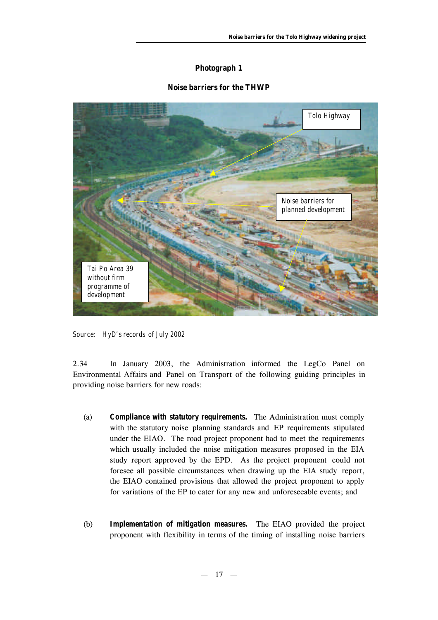## **Photograph 1**

## **Noise barriers for the THWP**



*Source: HyD's records of July 2002*

2.34 In January 2003, the Administration informed the LegCo Panel on Environmental Affairs and Panel on Transport of the following guiding principles in providing noise barriers for new roads:

- (a) *Compliance with statutory requirements.* The Administration must comply with the statutory noise planning standards and EP requirements stipulated under the EIAO. The road project proponent had to meet the requirements which usually included the noise mitigation measures proposed in the EIA study report approved by the EPD. As the project proponent could not foresee all possible circumstances when drawing up the EIA study report, the EIAO contained provisions that allowed the project proponent to apply for variations of the EP to cater for any new and unforeseeable events; and
- (b) *Implementation of mitigation measures.* The EIAO provided the project proponent with flexibility in terms of the timing of installing noise barriers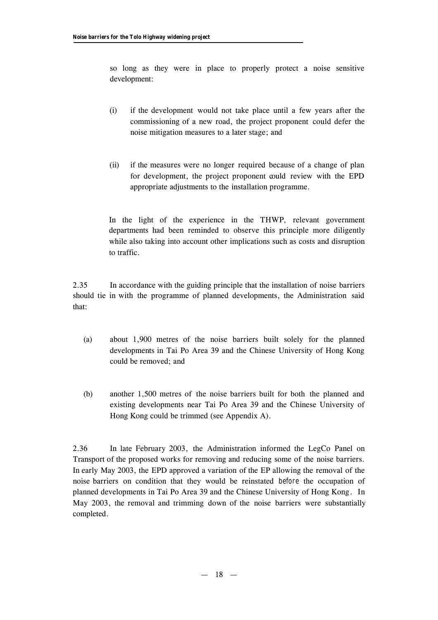so long as they were in place to properly protect a noise sensitive development:

- (i) if the development would not take place until a few years after the commissioning of a new road, the project proponent could defer the noise mitigation measures to a later stage; and
- (ii) if the measures were no longer required because of a change of plan for development, the project proponent could review with the EPD appropriate adjustments to the installation programme.

In the light of the experience in the THWP, relevant government departments had been reminded to observe this principle more diligently while also taking into account other implications such as costs and disruption to traffic.

2.35 In accordance with the guiding principle that the installation of noise barriers should tie in with the programme of planned developments, the Administration said that:

- (a) about 1,900 metres of the noise barriers built solely for the planned developments in Tai Po Area 39 and the Chinese University of Hong Kong could be removed; and
- (b) another 1,500 metres of the noise barriers built for both the planned and existing developments near Tai Po Area 39 and the Chinese University of Hong Kong could be trimmed (see Appendix A).

2.36 In late February 2003, the Administration informed the LegCo Panel on Transport of the proposed works for removing and reducing some of the noise barriers. In early May 2003, the EPD approved a variation of the EP allowing the removal of the noise barriers on condition that they would be reinstated *before* the occupation of planned developments in Tai Po Area 39 and the Chinese University of Hong Kong. In May 2003, the removal and trimming down of the noise barriers were substantially completed.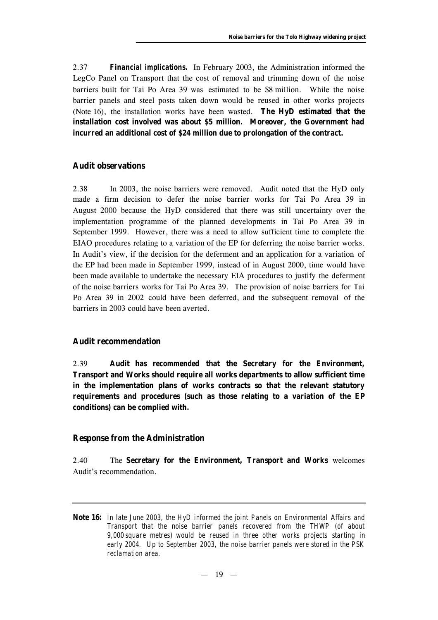2.37 *Financial implications.* In February 2003, the Administration informed the LegCo Panel on Transport that the cost of removal and trimming down of the noise barriers built for Tai Po Area 39 was estimated to be \$8 million. While the noise barrier panels and steel posts taken down would be reused in other works projects (Note 16), the installation works have been wasted. **The HyD estimated that the installation cost involved was about \$5 million. Moreover, the Government had incurred an additional cost of \$24 million due to prolongation of the contract.**

## **Audit observations**

2.38 In 2003, the noise barriers were removed. Audit noted that the HyD only made a firm decision to defer the noise barrier works for Tai Po Area 39 in August 2000 because the HyD considered that there was still uncertainty over the implementation programme of the planned developments in Tai Po Area 39 in September 1999. However, there was a need to allow sufficient time to complete the EIAO procedures relating to a variation of the EP for deferring the noise barrier works. In Audit's view, if the decision for the deferment and an application for a variation of the EP had been made in September 1999, instead of in August 2000, time would have been made available to undertake the necessary EIA procedures to justify the deferment of the noise barriers works for Tai Po Area 39. The provision of noise barriers for Tai Po Area 39 in 2002 could have been deferred, and the subsequent removal of the barriers in 2003 could have been averted.

## **Audit recommendation**

2.39 **Audit has** *recommended* **that the Secretary for the Environment, Transport and Works should require all works departments to allow sufficient time in the implementation plans of works contracts so that the relevant statutory requirements and procedures (such as those relating to a variation of the EP conditions) can be complied with.**

#### **Response from the Administration**

2.40 The **Secretary for the Environment, Transport and Works** welcomes Audit's recommendation.

**Note 16:** *In late June 2003, the HyD informed the joint Panels on Environmental Affairs and Transport that the noise barrier panels recovered from the THWP (of about 9,000 square metres) would be reused in three other works projects starting in early 2004. Up to September 2003, the noise barrier panels were stored in the PSK reclamation area.*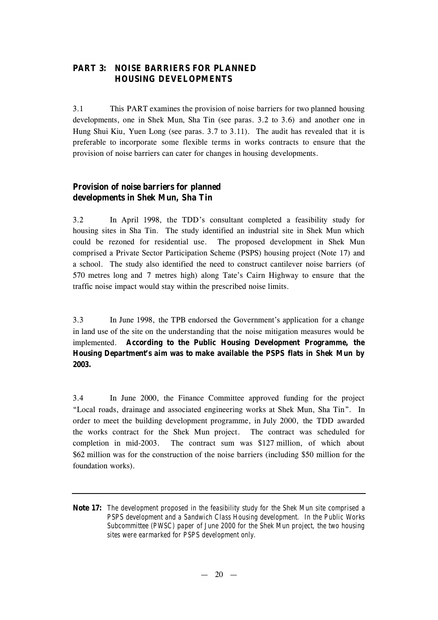## **PART 3: NOISE BARRIERS FOR PLANNED HOUSING DEVELOPMENTS**

3.1 This PART examines the provision of noise barriers for two planned housing developments, one in Shek Mun, Sha Tin (see paras. 3.2 to 3.6) and another one in Hung Shui Kiu, Yuen Long (see paras. 3.7 to 3.11). The audit has revealed that it is preferable to incorporate some flexible terms in works contracts to ensure that the provision of noise barriers can cater for changes in housing developments.

## **Provision of noise barriers for planned developments in Shek Mun, Sha Tin**

3.2 In April 1998, the TDD's consultant completed a feasibility study for housing sites in Sha Tin. The study identified an industrial site in Shek Mun which could be rezoned for residential use. The proposed development in Shek Mun comprised a Private Sector Participation Scheme (PSPS) housing project (Note 17) and a school. The study also identified the need to construct cantilever noise barriers (of 570 metres long and 7 metres high) along Tate's Cairn Highway to ensure that the traffic noise impact would stay within the prescribed noise limits.

3.3 In June 1998, the TPB endorsed the Government's application for a change in land use of the site on the understanding that the noise mitigation measures would be implemented. **According to the Public Housing Development Programme, the Housing Department's aim was to make available the PSPS flats in Shek Mun by 2003.**

3.4 In June 2000, the Finance Committee approved funding for the project "Local roads, drainage and associated engineering works at Shek Mun, Sha Tin". In order to meet the building development programme, in July 2000, the TDD awarded the works contract for the Shek Mun project. The contract was scheduled for completion in mid-2003. The contract sum was \$127 million, of which about \$62 million was for the construction of the noise barriers (including \$50 million for the foundation works).

**Note 17:** *The development proposed in the feasibility study for the Shek Mun site comprised a PSPS development and a Sandwich Class Housing development. In the Public Works Subcommittee (PWSC) paper of June 2000 for the Shek Mun project, the two housing sites were earmarked for PSPS development only.*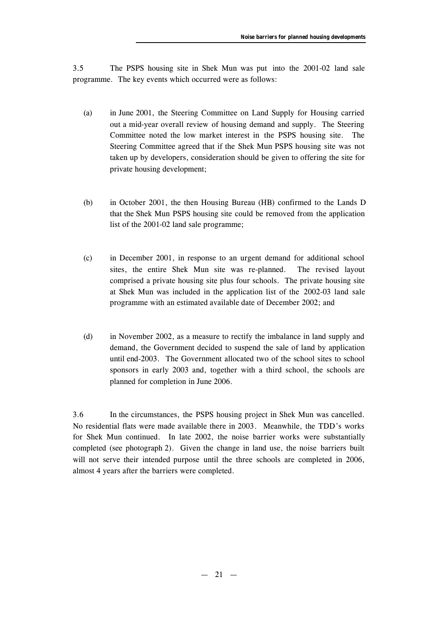3.5 The PSPS housing site in Shek Mun was put into the 2001-02 land sale programme. The key events which occurred were as follows:

- (a) in June 2001, the Steering Committee on Land Supply for Housing carried out a mid-year overall review of housing demand and supply. The Steering Committee noted the low market interest in the PSPS housing site. The Steering Committee agreed that if the Shek Mun PSPS housing site was not taken up by developers, consideration should be given to offering the site for private housing development;
- (b) in October 2001, the then Housing Bureau (HB) confirmed to the Lands D that the Shek Mun PSPS housing site could be removed from the application list of the 2001-02 land sale programme;
- (c) in December 2001, in response to an urgent demand for additional school sites, the entire Shek Mun site was re-planned. The revised layout comprised a private housing site plus four schools. The private housing site at Shek Mun was included in the application list of the 2002-03 land sale programme with an estimated available date of December 2002; and
- (d) in November 2002, as a measure to rectify the imbalance in land supply and demand, the Government decided to suspend the sale of land by application until end-2003. The Government allocated two of the school sites to school sponsors in early 2003 and, together with a third school, the schools are planned for completion in June 2006.

3.6 In the circumstances, the PSPS housing project in Shek Mun was cancelled. No residential flats were made available there in 2003. Meanwhile, the TDD's works for Shek Mun continued. In late 2002, the noise barrier works were substantially completed (see photograph 2). Given the change in land use, the noise barriers built will not serve their intended purpose until the three schools are completed in 2006, almost 4 years after the barriers were completed.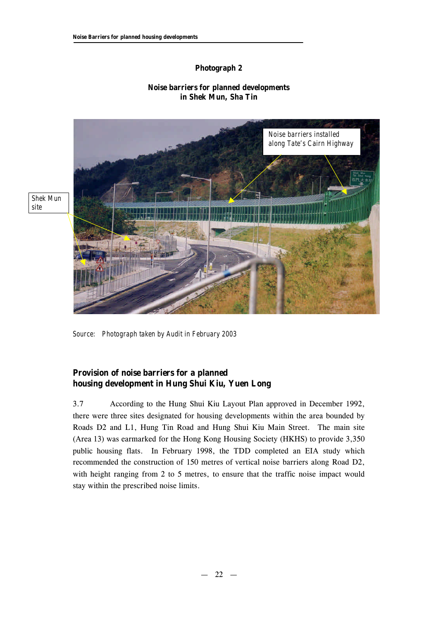## **Photograph 2**

## **Noise barriers for planned developments in Shek Mun, Sha Tin**



*Shek Mun site*

*Source: Photograph taken by Audit in February 2003*

## **Provision of noise barriers for a planned housing development in Hung Shui Kiu, Yuen Long**

3.7 According to the Hung Shui Kiu Layout Plan approved in December 1992, there were three sites designated for housing developments within the area bounded by Roads D2 and L1, Hung Tin Road and Hung Shui Kiu Main Street. The main site (Area 13) was earmarked for the Hong Kong Housing Society (HKHS) to provide 3,350 public housing flats. In February 1998, the TDD completed an EIA study which recommended the construction of 150 metres of vertical noise barriers along Road D2, with height ranging from 2 to 5 metres, to ensure that the traffic noise impact would stay within the prescribed noise limits.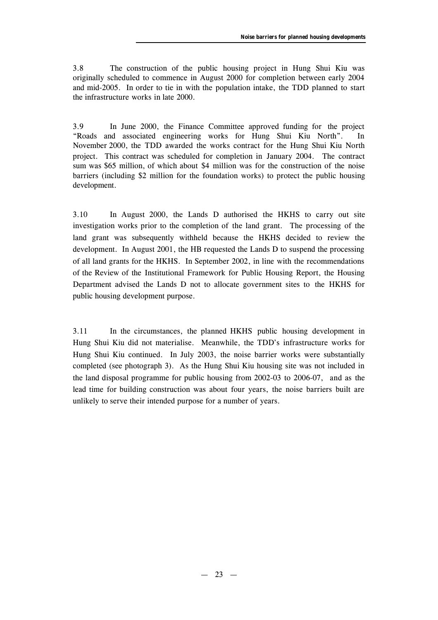3.8 The construction of the public housing project in Hung Shui Kiu was originally scheduled to commence in August 2000 for completion between early 2004 and mid-2005. In order to tie in with the population intake, the TDD planned to start the infrastructure works in late 2000.

3.9 In June 2000, the Finance Committee approved funding for the project "Roads and associated engineering works for Hung Shui Kiu North". In November 2000, the TDD awarded the works contract for the Hung Shui Kiu North project. This contract was scheduled for completion in January 2004. The contract sum was \$65 million, of which about \$4 million was for the construction of the noise barriers (including \$2 million for the foundation works) to protect the public housing development.

3.10 In August 2000, the Lands D authorised the HKHS to carry out site investigation works prior to the completion of the land grant. The processing of the land grant was subsequently withheld because the HKHS decided to review the development. In August 2001, the HB requested the Lands D to suspend the processing of all land grants for the HKHS. In September 2002, in line with the recommendations of the Review of the Institutional Framework for Public Housing Report, the Housing Department advised the Lands D not to allocate government sites to the HKHS for public housing development purpose.

3.11 In the circumstances, the planned HKHS public housing development in Hung Shui Kiu did not materialise. Meanwhile, the TDD's infrastructure works for Hung Shui Kiu continued. In July 2003, the noise barrier works were substantially completed (see photograph 3). As the Hung Shui Kiu housing site was not included in the land disposal programme for public housing from 2002-03 to 2006-07, and as the lead time for building construction was about four years, the noise barriers built are unlikely to serve their intended purpose for a number of years.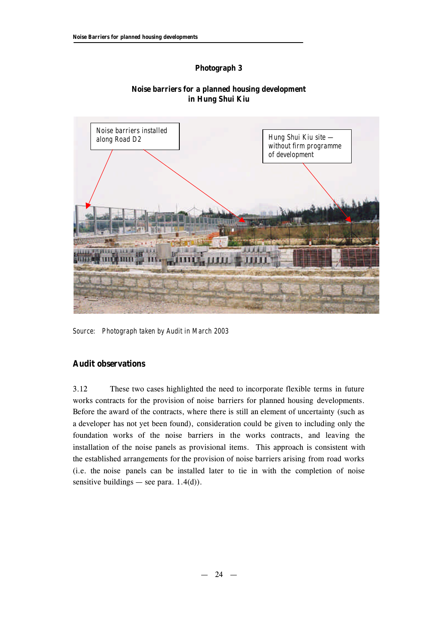## **Photograph 3**



## **Noise barriers for a planned housing development in Hung Shui Kiu**

*Source: Photograph taken by Audit in March 2003*

## **Audit observations**

3.12 These two cases highlighted the need to incorporate flexible terms in future works contracts for the provision of noise barriers for planned housing developments. Before the award of the contracts, where there is still an element of uncertainty (such as a developer has not yet been found), consideration could be given to including only the foundation works of the noise barriers in the works contracts, and leaving the installation of the noise panels as provisional items. This approach is consistent with the established arrangements for the provision of noise barriers arising from road works (i.e. the noise panels can be installed later to tie in with the completion of noise sensitive buildings — see para.  $1.4(d)$ ).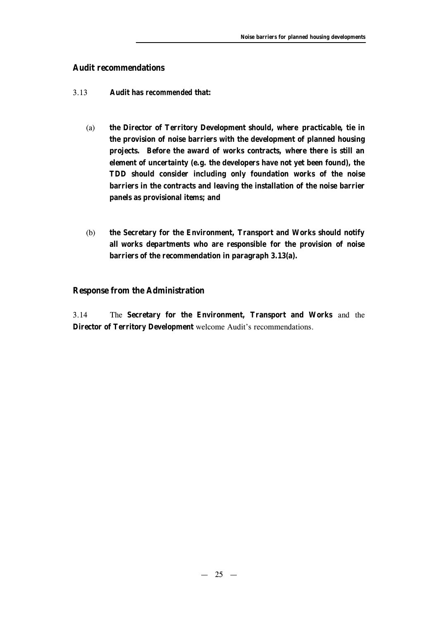## **Audit recommendations**

- 3.13 **Audit has** *recommended* **that:**
	- (a) **the Director of Territory Development should, where practicable, tie in the provision of noise barriers with the development of planned housing projects. Before the award of works contracts, where there is still an element of uncertainty (e.g. the developers have not yet been found), the TDD should consider including only foundation works of the noise barriers in the contracts and leaving the installation of the noise barrier panels as provisional items; and**
	- (b) **the Secretary for the Environment, Transport and Works should notify all works departments who are responsible for the provision of noise barriers of the recommendation in paragraph 3.13(a).**

## **Response from the Administration**

3.14 The **Secretary for the Environment, Transport and Works** and the **Director of Territory Development** welcome Audit's recommendations.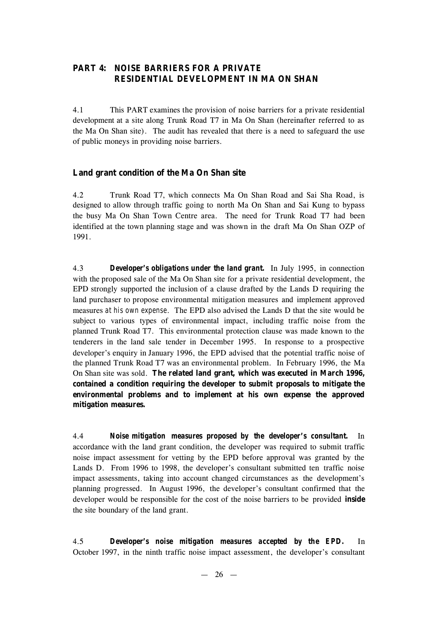## **PART 4: NOISE BARRIERS FOR A PRIVATE RESIDENTIAL DEVELOPMENT IN MA ON SHAN**

4.1 This PART examines the provision of noise barriers for a private residential development at a site along Trunk Road T7 in Ma On Shan (hereinafter referred to as the Ma On Shan site). The audit has revealed that there is a need to safeguard the use of public moneys in providing noise barriers.

## **Land grant condition of the Ma On Shan site**

4.2 Trunk Road T7, which connects Ma On Shan Road and Sai Sha Road, is designed to allow through traffic going to north Ma On Shan and Sai Kung to bypass the busy Ma On Shan Town Centre area. The need for Trunk Road T7 had been identified at the town planning stage and was shown in the draft Ma On Shan OZP of 1991.

4.3 *Developer's obligations under the land grant.* In July 1995, in connection with the proposed sale of the Ma On Shan site for a private residential development, the EPD strongly supported the inclusion of a clause drafted by the Lands D requiring the land purchaser to propose environmental mitigation measures and implement approved measures *at his own expense*. The EPD also advised the Lands D that the site would be subject to various types of environmental impact, including traffic noise from the planned Trunk Road T7. This environmental protection clause was made known to the tenderers in the land sale tender in December 1995. In response to a prospective developer's enquiry in January 1996, the EPD advised that the potential traffic noise of the planned Trunk Road T7 was an environmental problem. In February 1996, the Ma On Shan site was sold. **The related land grant, which was executed in March 1996, contained a condition requiring the developer to submit proposals to mitigate the environmental problems and to implement at his own expense the approved mitigation measures.**

4.4 *Noise mitigation measures proposed by the developer's consultant.* In accordance with the land grant condition, the developer was required to submit traffic noise impact assessment for vetting by the EPD before approval was granted by the Lands D. From 1996 to 1998, the developer's consultant submitted ten traffic noise impact assessments, taking into account changed circumstances as the development's planning progressed. In August 1996, the developer's consultant confirmed that the developer would be responsible for the cost of the noise barriers to be provided **inside** the site boundary of the land grant.

4.5 *Developer's noise mitigation measures accepted by the EPD.* In October 1997, in the ninth traffic noise impact assessment, the developer's consultant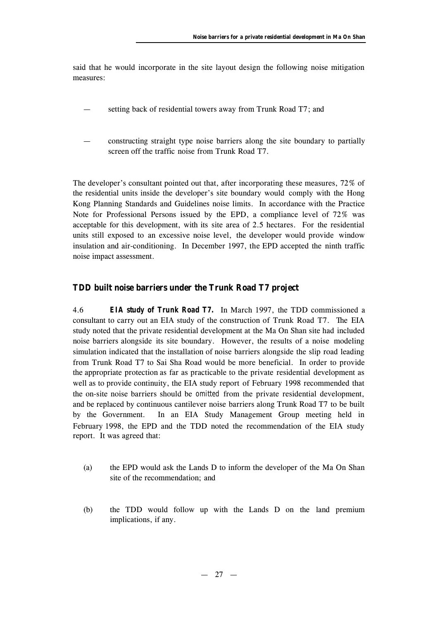said that he would incorporate in the site layout design the following noise mitigation measures:

- setting back of residential towers away from Trunk Road T7; and
- constructing straight type noise barriers along the site boundary to partially screen off the traffic noise from Trunk Road T7.

The developer's consultant pointed out that, after incorporating these measures, 72% of the residential units inside the developer's site boundary would comply with the Hong Kong Planning Standards and Guidelines noise limits. In accordance with the Practice Note for Professional Persons issued by the EPD, a compliance level of 72% was acceptable for this development, with its site area of 2.5 hectares. For the residential units still exposed to an excessive noise level, the developer would provide window insulation and air-conditioning. In December 1997, the EPD accepted the ninth traffic noise impact assessment.

#### **TDD built noise barriers under the Trunk Road T7 project**

4.6 *EIA study of Trunk Road T7.* In March 1997, the TDD commissioned a consultant to carry out an EIA study of the construction of Trunk Road T7. The EIA study noted that the private residential development at the Ma On Shan site had included noise barriers alongside its site boundary. However, the results of a noise modeling simulation indicated that the installation of noise barriers alongside the slip road leading from Trunk Road T7 to Sai Sha Road would be more beneficial. In order to provide the appropriate protection as far as practicable to the private residential development as well as to provide continuity, the EIA study report of February 1998 recommended that the on-site noise barriers should be *omitted* from the private residential development, and be replaced by continuous cantilever noise barriers along Trunk Road T7 to be built by the Government. In an EIA Study Management Group meeting held in February 1998, the EPD and the TDD noted the recommendation of the EIA study report. It was agreed that:

- (a) the EPD would ask the Lands D to inform the developer of the Ma On Shan site of the recommendation; and
- (b) the TDD would follow up with the Lands D on the land premium implications, if any.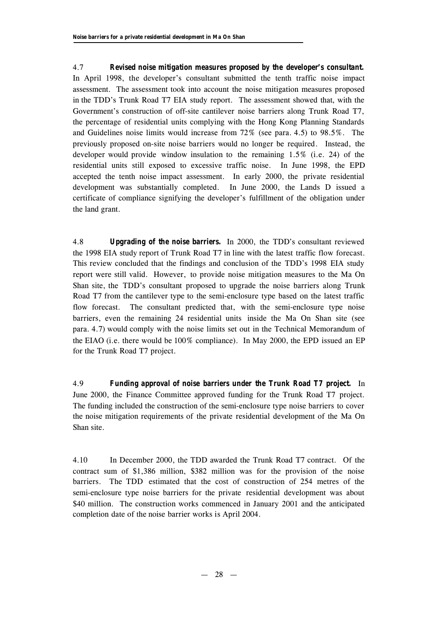4.7 *Revised noise mitigation measures proposed by the developer's consultant.* In April 1998, the developer's consultant submitted the tenth traffic noise impact assessment. The assessment took into account the noise mitigation measures proposed in the TDD's Trunk Road T7 EIA study report. The assessment showed that, with the Government's construction of off-site cantilever noise barriers along Trunk Road T7, the percentage of residential units complying with the Hong Kong Planning Standards and Guidelines noise limits would increase from 72% (see para. 4.5) to 98.5%. The previously proposed on-site noise barriers would no longer be required. Instead, the developer would provide window insulation to the remaining 1.5% (i.e. 24) of the residential units still exposed to excessive traffic noise. In June 1998, the EPD accepted the tenth noise impact assessment. In early 2000, the private residential development was substantially completed. In June 2000, the Lands D issued a certificate of compliance signifying the developer's fulfillment of the obligation under the land grant.

4.8 *Upgrading of the noise barriers.* In 2000, the TDD's consultant reviewed the 1998 EIA study report of Trunk Road T7 in line with the latest traffic flow forecast. This review concluded that the findings and conclusion of the TDD's 1998 EIA study report were still valid. However, to provide noise mitigation measures to the Ma On Shan site, the TDD's consultant proposed to upgrade the noise barriers along Trunk Road T7 from the cantilever type to the semi-enclosure type based on the latest traffic flow forecast. The consultant predicted that, with the semi-enclosure type noise barriers, even the remaining 24 residential units inside the Ma On Shan site (see para. 4.7) would comply with the noise limits set out in the Technical Memorandum of the EIAO (i.e. there would be 100% compliance). In May 2000, the EPD issued an EP for the Trunk Road T7 project.

4.9 *Funding approval of noise barriers under the Trunk Road T7 project.* In June 2000, the Finance Committee approved funding for the Trunk Road T7 project. The funding included the construction of the semi-enclosure type noise barriers to cover the noise mitigation requirements of the private residential development of the Ma On Shan site.

4.10 In December 2000, the TDD awarded the Trunk Road T7 contract. Of the contract sum of \$1,386 million, \$382 million was for the provision of the noise barriers. The TDD estimated that the cost of construction of 254 metres of the semi-enclosure type noise barriers for the private residential development was about \$40 million. The construction works commenced in January 2001 and the anticipated completion date of the noise barrier works is April 2004.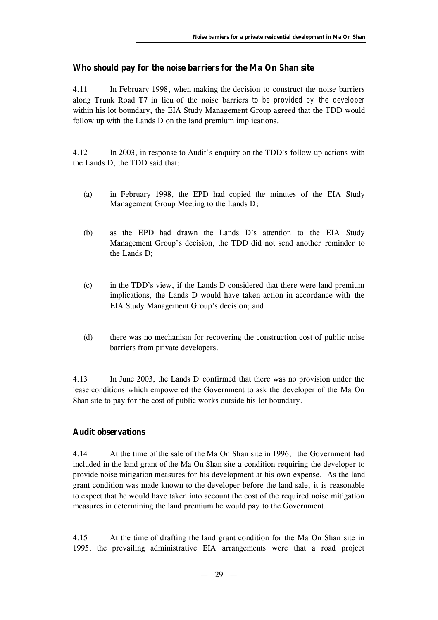## **Who should pay for the noise barriers for the Ma On Shan site**

4.11 In February 1998, when making the decision to construct the noise barriers along Trunk Road T7 in lieu of the noise barriers *to be provided by the developer* within his lot boundary, the EIA Study Management Group agreed that the TDD would follow up with the Lands D on the land premium implications.

4.12 In 2003, in response to Audit's enquiry on the TDD's follow-up actions with the Lands D, the TDD said that:

- (a) in February 1998, the EPD had copied the minutes of the EIA Study Management Group Meeting to the Lands D;
- (b) as the EPD had drawn the Lands D's attention to the EIA Study Management Group's decision, the TDD did not send another reminder to the Lands D;
- (c) in the TDD's view, if the Lands D considered that there were land premium implications, the Lands D would have taken action in accordance with the EIA Study Management Group's decision; and
- (d) there was no mechanism for recovering the construction cost of public noise barriers from private developers.

4.13 In June 2003, the Lands D confirmed that there was no provision under the lease conditions which empowered the Government to ask the developer of the Ma On Shan site to pay for the cost of public works outside his lot boundary.

## **Audit observations**

4.14 At the time of the sale of the Ma On Shan site in 1996, the Government had included in the land grant of the Ma On Shan site a condition requiring the developer to provide noise mitigation measures for his development at his own expense. As the land grant condition was made known to the developer before the land sale, it is reasonable to expect that he would have taken into account the cost of the required noise mitigation measures in determining the land premium he would pay to the Government.

4.15 At the time of drafting the land grant condition for the Ma On Shan site in 1995, the prevailing administrative EIA arrangements were that a road project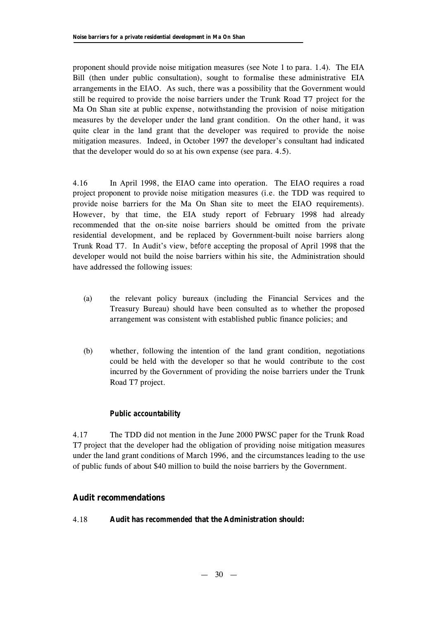proponent should provide noise mitigation measures (see Note 1 to para. 1.4). The EIA Bill (then under public consultation), sought to formalise these administrative EIA arrangements in the EIAO. As such, there was a possibility that the Government would still be required to provide the noise barriers under the Trunk Road T7 project for the Ma On Shan site at public expense, notwithstanding the provision of noise mitigation measures by the developer under the land grant condition. On the other hand, it was quite clear in the land grant that the developer was required to provide the noise mitigation measures. Indeed, in October 1997 the developer's consultant had indicated that the developer would do so at his own expense (see para. 4.5).

4.16 In April 1998, the EIAO came into operation. The EIAO requires a road project proponent to provide noise mitigation measures (i.e. the TDD was required to provide noise barriers for the Ma On Shan site to meet the EIAO requirements). However, by that time, the EIA study report of February 1998 had already recommended that the on-site noise barriers should be omitted from the private residential development, and be replaced by Government-built noise barriers along Trunk Road T7. In Audit's view, *before* accepting the proposal of April 1998 that the developer would not build the noise barriers within his site, the Administration should have addressed the following issues:

- (a) the relevant policy bureaux (including the Financial Services and the Treasury Bureau) should have been consulted as to whether the proposed arrangement was consistent with established public finance policies; and
- (b) whether, following the intention of the land grant condition, negotiations could be held with the developer so that he would contribute to the cost incurred by the Government of providing the noise barriers under the Trunk Road T7 project.

## *Public accountability*

4.17 The TDD did not mention in the June 2000 PWSC paper for the Trunk Road T7 project that the developer had the obligation of providing noise mitigation measures under the land grant conditions of March 1996, and the circumstances leading to the use of public funds of about \$40 million to build the noise barriers by the Government.

## **Audit recommendations**

## 4.18 **Audit has** *recommended* **that the Administration should:**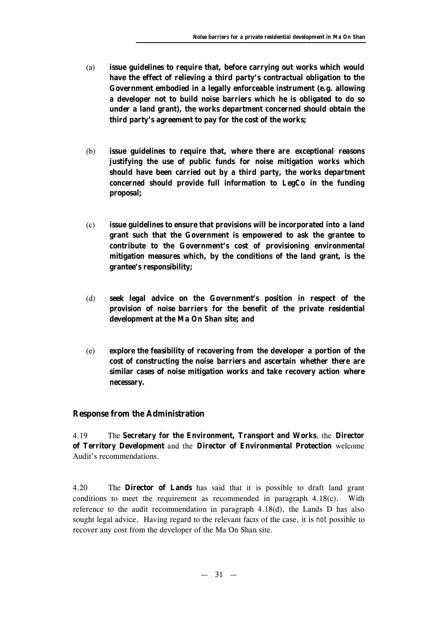- (a) **issue guidelines to require that, before carrying out works which would have the effect of relieving a third party's contractual obligation to the Government embodied in a legally enforceable instrument (e.g. allowing a developer not to build noise barriers which he is obligated to do so under a land grant), the works department concerned should obtain the third party's agreement to pay for the cost of the works;**
- (b) **issue guidelines to require that, where there are exceptional reasons justifying the use of public funds for noise mitigation works which should have been carried out by a third party, the works department concerned should provide full information to LegCo in the funding proposal;**
- (c) **issue guidelines to ensure that provisions will be incorporated into a land grant such that the Government is empowered to ask the grantee to contribute to the Government's cost of provisioning environmental mitigation measures which, by the conditions of the land grant, is the grantee's responsibility;**
- (d) **seek legal advice on the Government's position in respect of the provision of noise barriers for the benefit of the private residential development at the Ma On Shan site; and**
- (e) **explore the feasibility of recovering from the developer a portion of the cost of constructing the noise barriers and ascertain whether there are similar cases of noise mitigation works and take recovery action where necessary.**

## **Response from the Administration**

4.19 The **Secretary for the Environment, Transport and Works**, the **Director of Territory Development** and the **Director of Environmental Protection** welcome Audit's recommendations.

4.20 The **Director of Lands** has said that it is possible to draft land grant conditions to meet the requirement as recommended in paragraph 4.18(c). With reference to the audit recommendation in paragraph 4.18(d), the Lands D has also sought legal advice. Having regard to the relevant facts of the case, it is *not* possible to recover any cost from the developer of the Ma On Shan site.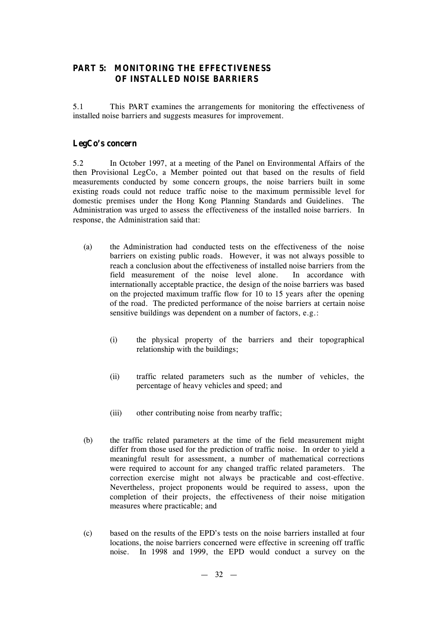## **PART 5: MONITORING THE EFFECTIVENESS OF INSTALLED NOISE BARRIERS**

5.1 This PART examines the arrangements for monitoring the effectiveness of installed noise barriers and suggests measures for improvement.

## **LegCo's concern**

5.2 In October 1997, at a meeting of the Panel on Environmental Affairs of the then Provisional LegCo, a Member pointed out that based on the results of field measurements conducted by some concern groups, the noise barriers built in some existing roads could not reduce traffic noise to the maximum permissible level for domestic premises under the Hong Kong Planning Standards and Guidelines. The Administration was urged to assess the effectiveness of the installed noise barriers. In response, the Administration said that:

- (a) the Administration had conducted tests on the effectiveness of the noise barriers on existing public roads. However, it was not always possible to reach a conclusion about the effectiveness of installed noise barriers from the field measurement of the noise level alone. In accordance with internationally acceptable practice, the design of the noise barriers was based on the projected maximum traffic flow for 10 to 15 years after the opening of the road. The predicted performance of the noise barriers at certain noise sensitive buildings was dependent on a number of factors, e.g.:
	- (i) the physical property of the barriers and their topographical relationship with the buildings;
	- (ii) traffic related parameters such as the number of vehicles, the percentage of heavy vehicles and speed; and
	- (iii) other contributing noise from nearby traffic;
- (b) the traffic related parameters at the time of the field measurement might differ from those used for the prediction of traffic noise. In order to yield a meaningful result for assessment, a number of mathematical corrections were required to account for any changed traffic related parameters. The correction exercise might not always be practicable and cost-effective. Nevertheless, project proponents would be required to assess, upon the completion of their projects, the effectiveness of their noise mitigation measures where practicable; and
- (c) based on the results of the EPD's tests on the noise barriers installed at four locations, the noise barriers concerned were effective in screening off traffic noise. In 1998 and 1999, the EPD would conduct a survey on the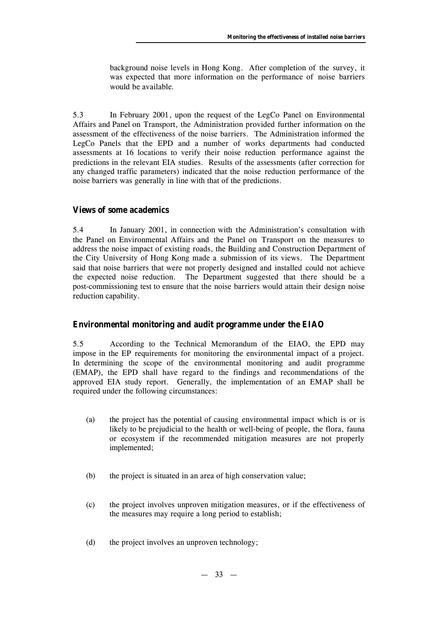background noise levels in Hong Kong. After completion of the survey, it was expected that more information on the performance of noise barriers would be available.

5.3 In February 2001, upon the request of the LegCo Panel on Environmental Affairs and Panel on Transport, the Administration provided further information on the assessment of the effectiveness of the noise barriers. The Administration informed the LegCo Panels that the EPD and a number of works departments had conducted assessments at 16 locations to verify their noise reduction performance against the predictions in the relevant EIA studies. Results of the assessments (after correction for any changed traffic parameters) indicated that the noise reduction performance of the noise barriers was generally in line with that of the predictions.

## **Views of some academics**

5.4 In January 2001, in connection with the Administration's consultation with the Panel on Environmental Affairs and the Panel on Transport on the measures to address the noise impact of existing roads, the Building and Construction Department of the City University of Hong Kong made a submission of its views. The Department said that noise barriers that were not properly designed and installed could not achieve the expected noise reduction. The Department suggested that there should be a post-commissioning test to ensure that the noise barriers would attain their design noise reduction capability.

## **Environmental monitoring and audit programme under the EIAO**

5.5 According to the Technical Memorandum of the EIAO, the EPD may impose in the EP requirements for monitoring the environmental impact of a project. In determining the scope of the environmental monitoring and audit programme (EMAP), the EPD shall have regard to the findings and recommendations of the approved EIA study report. Generally, the implementation of an EMAP shall be required under the following circumstances:

- (a) the project has the potential of causing environmental impact which is or is likely to be prejudicial to the health or well-being of people, the flora, fauna or ecosystem if the recommended mitigation measures are not properly implemented;
- (b) the project is situated in an area of high conservation value;
- (c) the project involves unproven mitigation measures, or if the effectiveness of the measures may require a long period to establish;
- (d) the project involves an unproven technology;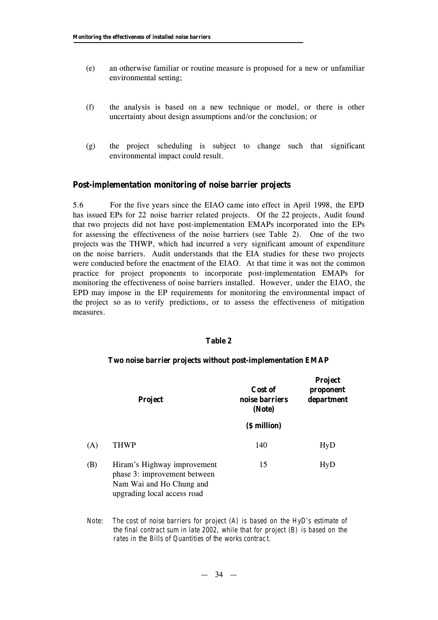- (e) an otherwise familiar or routine measure is proposed for a new or unfamiliar environmental setting;
- (f) the analysis is based on a new technique or model, or there is other uncertainty about design assumptions and/or the conclusion; or
- (g) the project scheduling is subject to change such that significant environmental impact could result.

#### **Post-implementation monitoring of noise barrier projects**

5.6 For the five years since the EIAO came into effect in April 1998, the EPD has issued EPs for 22 noise barrier related projects. Of the 22 projects, Audit found that two projects did not have post-implementation EMAPs incorporated into the EPs for assessing the effectiveness of the noise barriers (see Table 2). One of the two projects was the THWP, which had incurred a very significant amount of expenditure on the noise barriers. Audit understands that the EIA studies for these two projects were conducted before the enactment of the EIAO. At that time it was not the common practice for project proponents to incorporate post-implementation EMAPs for monitoring the effectiveness of noise barriers installed. However, under the EIAO, the EPD may impose in the EP requirements for monitoring the environmental impact of the project so as to verify predictions, or to assess the effectiveness of mitigation measures.

#### **Table 2**

#### **Two noise barrier projects without post-implementation EMAP**

|     | <b>Project</b>                                                                                                         | Cost of<br>noise barriers<br>(Note) | <b>Project</b><br>proponent<br>department |
|-----|------------------------------------------------------------------------------------------------------------------------|-------------------------------------|-------------------------------------------|
|     |                                                                                                                        | (\$ million)                        |                                           |
| (A) | <b>THWP</b>                                                                                                            | 140                                 | HyD                                       |
| (B) | Hiram's Highway improvement<br>phase 3: improvement between<br>Nam Wai and Ho Chung and<br>upgrading local access road | 15                                  | <b>HyD</b>                                |

*Note: The cost of noise barriers for project (A) is based on the HyD's estimate of the final contract sum in late 2002, while that for project (B) is based on the rates in the Bills of Quantities of the works contract.*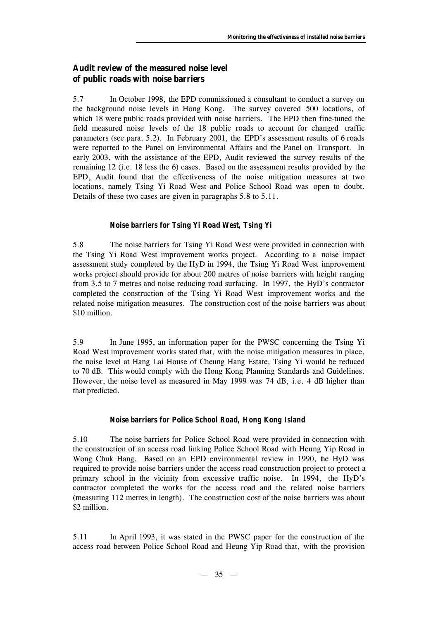## **Audit review of the measured noise level of public roads with noise barriers**

5.7 In October 1998, the EPD commissioned a consultant to conduct a survey on the background noise levels in Hong Kong. The survey covered 500 locations, of which 18 were public roads provided with noise barriers. The EPD then fine-tuned the field measured noise levels of the 18 public roads to account for changed traffic parameters (see para. 5.2). In February 2001, the EPD's assessment results of 6 roads were reported to the Panel on Environmental Affairs and the Panel on Transport. In early 2003, with the assistance of the EPD, Audit reviewed the survey results of the remaining 12 (i.e. 18 less the 6) cases. Based on the assessment results provided by the EPD, Audit found that the effectiveness of the noise mitigation measures at two locations, namely Tsing Yi Road West and Police School Road was open to doubt. Details of these two cases are given in paragraphs 5.8 to 5.11.

## *Noise barriers for Tsing Yi Road West, Tsing Yi*

5.8 The noise barriers for Tsing Yi Road West were provided in connection with the Tsing Yi Road West improvement works project. According to a noise impact assessment study completed by the HyD in 1994, the Tsing Yi Road West improvement works project should provide for about 200 metres of noise barriers with height ranging from 3.5 to 7 metres and noise reducing road surfacing. In 1997, the HyD's contractor completed the construction of the Tsing Yi Road West improvement works and the related noise mitigation measures. The construction cost of the noise barriers was about \$10 million.

5.9 In June 1995, an information paper for the PWSC concerning the Tsing Yi Road West improvement works stated that, with the noise mitigation measures in place, the noise level at Hang Lai House of Cheung Hang Estate, Tsing Yi would be reduced to 70 dB. This would comply with the Hong Kong Planning Standards and Guidelines. However, the noise level as measured in May 1999 was 74 dB, i.e. 4 dB higher than that predicted.

## *Noise barriers for Police School Road, Hong Kong Island*

5.10 The noise barriers for Police School Road were provided in connection with the construction of an access road linking Police School Road with Heung Yip Road in Wong Chuk Hang. Based on an EPD environmental review in 1990, the HyD was required to provide noise barriers under the access road construction project to protect a primary school in the vicinity from excessive traffic noise. In 1994, the HyD's contractor completed the works for the access road and the related noise barriers (measuring 112 metres in length). The construction cost of the noise barriers was about \$2 million.

5.11 In April 1993, it was stated in the PWSC paper for the construction of the access road between Police School Road and Heung Yip Road that, with the provision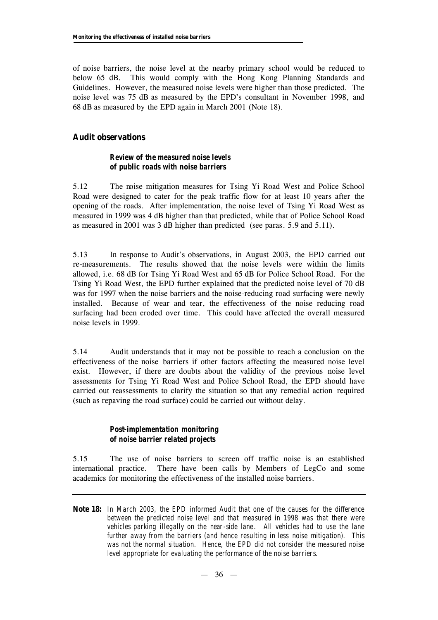of noise barriers, the noise level at the nearby primary school would be reduced to below 65 dB. This would comply with the Hong Kong Planning Standards and Guidelines. However, the measured noise levels were higher than those predicted. The noise level was 75 dB as measured by the EPD's consultant in November 1998, and 68 dB as measured by the EPD again in March 2001 (Note 18).

## **Audit observations**

## *Review of the measured noise levels of public roads with noise barriers*

5.12 The noise mitigation measures for Tsing Yi Road West and Police School Road were designed to cater for the peak traffic flow for at least 10 years after the opening of the roads. After implementation, the noise level of Tsing Yi Road West as measured in 1999 was 4 dB higher than that predicted, while that of Police School Road as measured in 2001 was 3 dB higher than predicted (see paras. 5.9 and 5.11).

5.13 In response to Audit's observations, in August 2003, the EPD carried out re-measurements. The results showed that the noise levels were within the limits allowed, i.e. 68 dB for Tsing Yi Road West and 65 dB for Police School Road. For the Tsing Yi Road West, the EPD further explained that the predicted noise level of 70 dB was for 1997 when the noise barriers and the noise-reducing road surfacing were newly installed. Because of wear and tear, the effectiveness of the noise reducing road surfacing had been eroded over time. This could have affected the overall measured noise levels in 1999.

5.14 Audit understands that it may not be possible to reach a conclusion on the effectiveness of the noise barriers if other factors affecting the measured noise level exist. However, if there are doubts about the validity of the previous noise level assessments for Tsing Yi Road West and Police School Road, the EPD should have carried out reassessments to clarify the situation so that any remedial action required (such as repaving the road surface) could be carried out without delay.

## *Post-implementation monitoring of noise barrier related projects*

5.15 The use of noise barriers to screen off traffic noise is an established international practice. There have been calls by Members of LegCo and some academics for monitoring the effectiveness of the installed noise barriers.

**Note 18:** *In March 2003, the EPD informed Audit that one of the causes for the difference between the predicted noise level and that measured in 1998 was that there were vehicles parking illegally on the near-side lane. All vehicles had to use the lane further away from the barriers (and hence resulting in less noise mitigation). This was not the normal situation. Hence, the EPD did not consider the measured noise level appropriate for evaluating the performance of the noise barriers.*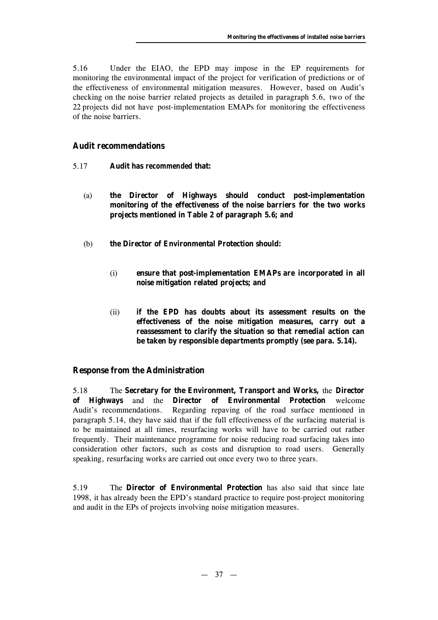5.16 Under the EIAO, the EPD may impose in the EP requirements for monitoring the environmental impact of the project for verification of predictions or of the effectiveness of environmental mitigation measures. However, based on Audit's checking on the noise barrier related projects as detailed in paragraph 5.6, two of the 22 projects did not have post-implementation EMAPs for monitoring the effectiveness of the noise barriers.

## **Audit recommendations**

- 5.17 **Audit has** *recommended* **that:**
	- (a) **the Director of Highways should conduct post-implementation monitoring of the effectiveness of the noise barriers for the two works projects mentioned in Table 2 of paragraph 5.6; and**
	- (b) **the Director of Environmental Protection should:**
		- (i) **ensure that post-implementation EMAPs are incorporated in all noise mitigation related projects; and**
		- (ii) **if the EPD has doubts about its assessment results on the effectiveness of the noise mitigation measures, carry out a reassessment to clarify the situation so that remedial action can be taken by responsible departments promptly (see para. 5.14).**

## **Response from the Administration**

5.18 The **Secretary for the Environment, Transport and Works,** the **Director of Highways** and the **Director of Environmental Protection** welcome Audit's recommendations. Regarding repaving of the road surface mentioned in paragraph 5.14, they have said that if the full effectiveness of the surfacing material is to be maintained at all times, resurfacing works will have to be carried out rather frequently. Their maintenance programme for noise reducing road surfacing takes into consideration other factors, such as costs and disruption to road users. Generally speaking, resurfacing works are carried out once every two to three years.

5.19 The **Director of Environmental Protection** has also said that since late 1998, it has already been the EPD's standard practice to require post-project monitoring and audit in the EPs of projects involving noise mitigation measures.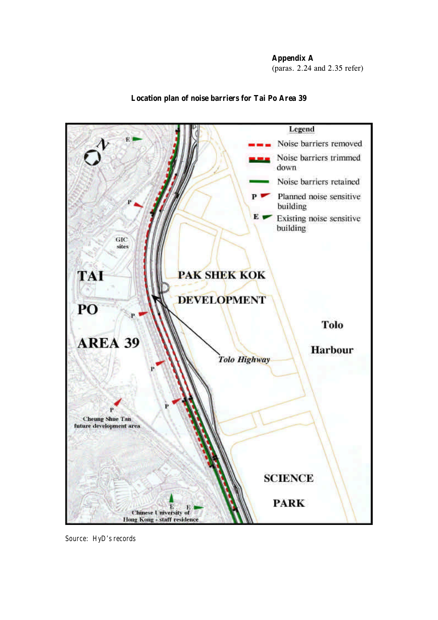**Appendix A**

(paras. 2.24 and 2.35 refer)



## **Location plan of noise barriers for Tai Po Area 39**

*Source: HyD's records*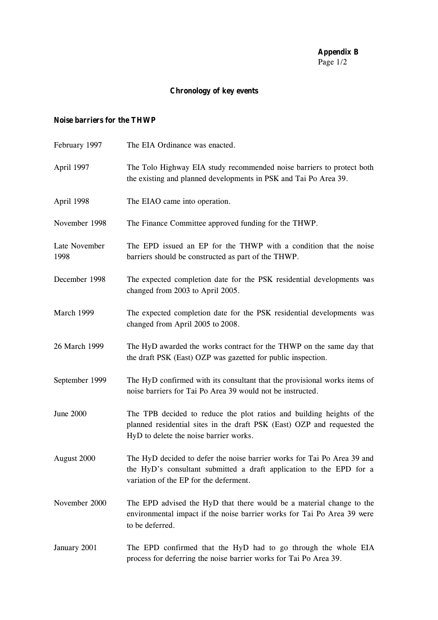## **Appendix B** Page 1/2

# **Chronology of key events**

## **Noise barriers for the THWP**

| February 1997         | The EIA Ordinance was enacted.                                                                                                                                                             |
|-----------------------|--------------------------------------------------------------------------------------------------------------------------------------------------------------------------------------------|
| April 1997            | The Tolo Highway EIA study recommended noise barriers to protect both<br>the existing and planned developments in PSK and Tai Po Area 39.                                                  |
| April 1998            | The EIAO came into operation.                                                                                                                                                              |
| November 1998         | The Finance Committee approved funding for the THWP.                                                                                                                                       |
| Late November<br>1998 | The EPD issued an EP for the THWP with a condition that the noise<br>barriers should be constructed as part of the THWP.                                                                   |
| December 1998         | The expected completion date for the PSK residential developments was<br>changed from 2003 to April 2005.                                                                                  |
| March 1999            | The expected completion date for the PSK residential developments was<br>changed from April 2005 to 2008.                                                                                  |
| 26 March 1999         | The HyD awarded the works contract for the THWP on the same day that<br>the draft PSK (East) OZP was gazetted for public inspection.                                                       |
| September 1999        | The HyD confirmed with its consultant that the provisional works items of<br>noise barriers for Tai Po Area 39 would not be instructed.                                                    |
| <b>June 2000</b>      | The TPB decided to reduce the plot ratios and building heights of the<br>planned residential sites in the draft PSK (East) OZP and requested the<br>HyD to delete the noise barrier works. |
| August 2000           | The HyD decided to defer the noise barrier works for Tai Po Area 39 and<br>the HyD's consultant submitted a draft application to the EPD for a<br>variation of the EP for the deferment.   |
| November 2000         | The EPD advised the HyD that there would be a material change to the<br>environmental impact if the noise barrier works for Tai Po Area 39 were<br>to be deferred.                         |
| January 2001          | The EPD confirmed that the HyD had to go through the whole EIA<br>process for deferring the noise barrier works for Tai Po Area 39.                                                        |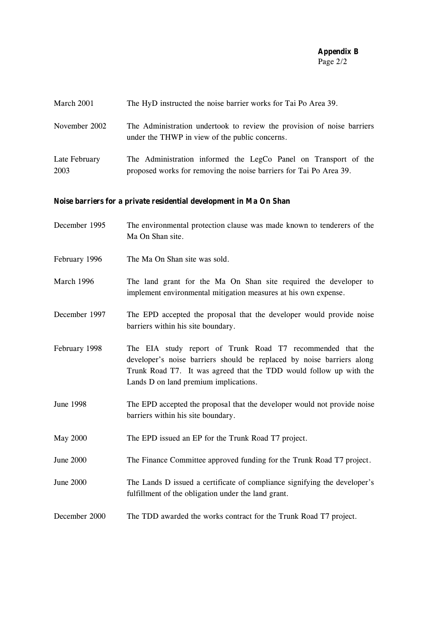#### **Appendix B** Page 2/2

| March 2001 | The HyD instructed the noise barrier works for Tai Po Area 39. |  |  |  |
|------------|----------------------------------------------------------------|--|--|--|
|            |                                                                |  |  |  |

November 2002 The Administration undertook to review the provision of noise barriers under the THWP in view of the public concerns.

Late February 2003 The Administration informed the LegCo Panel on Transport of the proposed works for removing the noise barriers for Tai Po Area 39.

## **Noise barriers for a private residential development in Ma On Shan**

- December 1995 The environmental protection clause was made known to tenderers of the Ma On Shan site.
- February 1996 The Ma On Shan site was sold.
- March 1996 The land grant for the Ma On Shan site required the developer to implement environmental mitigation measures at his own expense.
- December 1997 The EPD accepted the proposal that the developer would provide noise barriers within his site boundary.
- February 1998 The EIA study report of Trunk Road T7 recommended that the developer's noise barriers should be replaced by noise barriers along Trunk Road T7. It was agreed that the TDD would follow up with the Lands D on land premium implications.
- June 1998 The EPD accepted the proposal that the developer would not provide noise barriers within his site boundary.
- May 2000 The EPD issued an EP for the Trunk Road T7 project.
- June 2000 The Finance Committee approved funding for the Trunk Road T7 project.
- June 2000 The Lands D issued a certificate of compliance signifying the developer's fulfillment of the obligation under the land grant.
- December 2000 The TDD awarded the works contract for the Trunk Road T7 project.